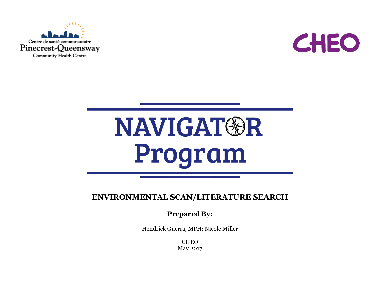



## NAVIGAT®R Program

**ENVIRONMENTAL SCAN/LITERATURE SEARCH**

**Prepared By:** 

Hendrick Guerra, MPH; Nicole Miller

**CHEO** May 2017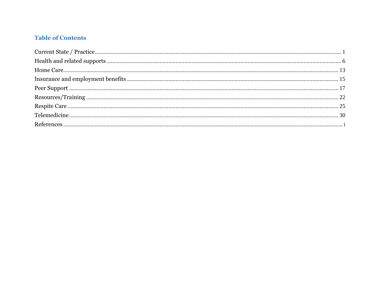## **Table of Contents**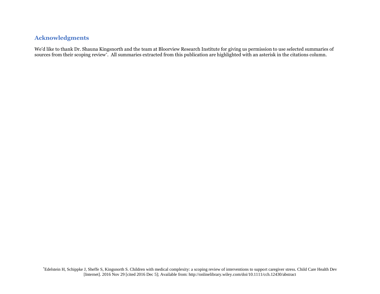## **Acknowledgments**

We'd like to thank Dr. Shauna Kingsnorth and the team at Bloorview Research Institute for giving us permission to use selected summaries of sources from their scoping review\* . All summaries extracted from this publication are highlighted with an asterisk in the citations column.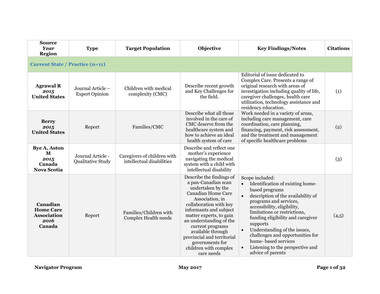<span id="page-3-0"></span>

| <b>Source</b><br>Year<br><b>Region</b>                               | <b>Type</b>                                | <b>Target Population</b>                                 | Objective                                                                                                                                                                                                                                                                                                                                                | <b>Key Findings/Notes</b>                                                                                                                                                                                                                                                                                                                                                                                                           | <b>Citations</b> |
|----------------------------------------------------------------------|--------------------------------------------|----------------------------------------------------------|----------------------------------------------------------------------------------------------------------------------------------------------------------------------------------------------------------------------------------------------------------------------------------------------------------------------------------------------------------|-------------------------------------------------------------------------------------------------------------------------------------------------------------------------------------------------------------------------------------------------------------------------------------------------------------------------------------------------------------------------------------------------------------------------------------|------------------|
| <b>Current State / Practice (n=11)</b>                               |                                            |                                                          |                                                                                                                                                                                                                                                                                                                                                          |                                                                                                                                                                                                                                                                                                                                                                                                                                     |                  |
| <b>Agrawal R</b><br>2015<br><b>United States</b>                     | Journal Article -<br><b>Expert Opinion</b> | Children with medical<br>complexity (CMC)                | Describe recent growth<br>and Key Challenges for<br>the field.                                                                                                                                                                                                                                                                                           | Editorial of issue dedicated to<br>Complex Care. Presents a range of<br>original research with areas of<br>investigation including quality of life,<br>caregiver challenges, health care<br>utilization, technology assistance and<br>residency education.                                                                                                                                                                          | (1)              |
| <b>Berry</b><br>2015<br><b>United States</b>                         | Report                                     | Families/CMC                                             | Describe what all those<br>involved in the care of<br>CMC deserve from the<br>healthcare system and<br>how to achieve an ideal<br>health system of care                                                                                                                                                                                                  | Work needed in a variety of areas,<br>including care management, care<br>coordination, care planning,<br>financing, payment, risk assessment,<br>and the treatment and management<br>of specific healthcare problems                                                                                                                                                                                                                | (2)              |
| <b>Bye A, Aston</b><br>M<br>2015<br>Canada<br><b>Nova Scotia</b>     | Journal Article -<br>Qualitative Study     | Caregivers of children with<br>intellectual disabilities | Describe and reflect one<br>mother's experience<br>navigating the medical<br>system with a child with<br>intellectual disability                                                                                                                                                                                                                         |                                                                                                                                                                                                                                                                                                                                                                                                                                     | (3)              |
| Canadian<br><b>Home Care</b><br><b>Association</b><br>2016<br>Canada | Report                                     | Families/Children with<br>Complex Health needs           | Describe the findings of<br>a pan-Canadian scan<br>undertaken by the<br>Canadian Home Care<br>Association, in<br>collaboration with key<br>informants and subject<br>matter experts, to gain<br>an understanding of the<br>current programs<br>available through<br>provincial and territorial<br>governments for<br>children with complex<br>care needs | Scope included:<br>Identification of existing home-<br>based programs<br>description of the availability of<br>$\bullet$<br>programs and services,<br>accessibility, eligibility,<br>limitations or restrictions,<br>funding eligibility and caregiver<br>supports<br>Understanding of the issues,<br>$\bullet$<br>challenges and opportunities for<br>home-based services<br>Listening to the perspective and<br>advice of parents | (4,5)            |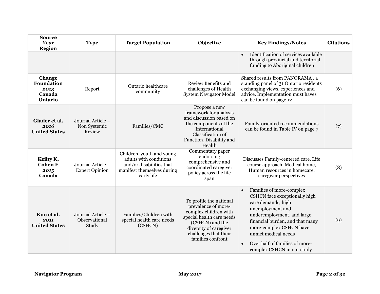| <b>Source</b><br>Year<br><b>Region</b>                   | <b>Type</b>                                 | <b>Target Population</b>                                                                                                    | Objective                                                                                                                                                                                       | <b>Key Findings/Notes</b>                                                                                                                                                                                                                                                                                        | <b>Citations</b> |
|----------------------------------------------------------|---------------------------------------------|-----------------------------------------------------------------------------------------------------------------------------|-------------------------------------------------------------------------------------------------------------------------------------------------------------------------------------------------|------------------------------------------------------------------------------------------------------------------------------------------------------------------------------------------------------------------------------------------------------------------------------------------------------------------|------------------|
|                                                          |                                             |                                                                                                                             |                                                                                                                                                                                                 | Identification of services available<br>$\bullet$<br>through provincial and territorial<br>funding to Aboriginal children                                                                                                                                                                                        |                  |
| Change<br>Foundation<br>2013<br>Canada<br><b>Ontario</b> | Report                                      | Ontario healthcare<br>community                                                                                             | Review Benefits and<br>challenges of Health<br><b>System Navigator Model</b>                                                                                                                    | Shared results from PANORAMA, a<br>standing panel of 31 Ontario residents<br>exchanging views, experiences and<br>advice. Implementation must haves<br>can be found on page 12                                                                                                                                   | (6)              |
| Glader et al.<br>2016<br><b>United States</b>            | Journal Article -<br>Non Systemic<br>Review | Families/CMC                                                                                                                | Propose a new<br>framework for analysis<br>and discussion based on<br>the components of the<br>International<br>Classification of<br>Function, Disability and<br>Health                         | Family-oriented recommendations<br>can be found in Table IV on page 7                                                                                                                                                                                                                                            | (7)              |
| Keilty K,<br><b>Cohen E</b><br>2015<br>Canada            | Journal Article -<br><b>Expert Opinion</b>  | Children, youth and young<br>adults with conditions<br>and/or disabilities that<br>manifest themselves during<br>early life | Commentary paper<br>endorsing<br>comprehensive and<br>coordinated caregiver<br>policy across the life<br>span                                                                                   | Discusses Family-centered care, Life<br>course approach, Medical home,<br>Human resources in homecare,<br>caregiver perspectives                                                                                                                                                                                 | (8)              |
| Kuo et al.<br>2011<br><b>United States</b>               | Journal Article -<br>Observational<br>Study | Families/Children with<br>special health care needs<br>(CSHCN)                                                              | To profile the national<br>prevalence of more-<br>complex children with<br>special health care needs<br>(CSHCN) and the<br>diversity of caregiver<br>challenges that their<br>families confront | Families of more-complex<br>$\bullet$<br>CSHCN face exceptionally high<br>care demands, high<br>unemployment and<br>underemployment, and large<br>financial burden, and that many<br>more-complex CSHCN have<br>unmet medical needs<br>Over half of families of more-<br>$\bullet$<br>complex CSHCN in our study | (9)              |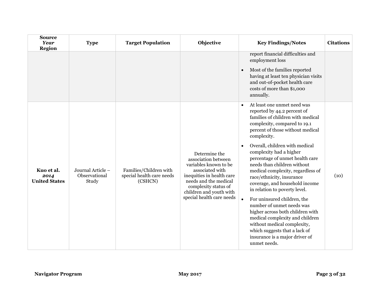| <b>Source</b><br><b>Year</b><br><b>Region</b> | <b>Type</b>                                 | <b>Target Population</b>                                       | Objective                                                                                                                                                                                                              | <b>Key Findings/Notes</b>                                                                                                                                                                                                                                                                                                                                                                                                                                                                                                                                                                                                                                                                                   | <b>Citations</b> |
|-----------------------------------------------|---------------------------------------------|----------------------------------------------------------------|------------------------------------------------------------------------------------------------------------------------------------------------------------------------------------------------------------------------|-------------------------------------------------------------------------------------------------------------------------------------------------------------------------------------------------------------------------------------------------------------------------------------------------------------------------------------------------------------------------------------------------------------------------------------------------------------------------------------------------------------------------------------------------------------------------------------------------------------------------------------------------------------------------------------------------------------|------------------|
|                                               |                                             |                                                                |                                                                                                                                                                                                                        | report financial difficulties and<br>employment loss<br>Most of the families reported<br>$\bullet$<br>having at least ten physician visits<br>and out-of-pocket health care<br>costs of more than \$1,000<br>annually.                                                                                                                                                                                                                                                                                                                                                                                                                                                                                      |                  |
| Kuo et al.<br>2014<br><b>United States</b>    | Journal Article -<br>Observational<br>Study | Families/Children with<br>special health care needs<br>(CSHCN) | Determine the<br>association between<br>variables known to be<br>associated with<br>inequities in health care<br>needs and the medical<br>complexity status of<br>children and youth with<br>special health care needs | At least one unmet need was<br>reported by 44.2 percent of<br>families of children with medical<br>complexity, compared to 19.1<br>percent of those without medical<br>complexity.<br>Overall, children with medical<br>complexity had a higher<br>percentage of unmet health care<br>needs than children without<br>medical complexity, regardless of<br>race/ethnicity, insurance<br>coverage, and household income<br>in relation to poverty level.<br>For uninsured children, the<br>number of unmet needs was<br>higher across both children with<br>medical complexity and children<br>without medical complexity,<br>which suggests that a lack of<br>insurance is a major driver of<br>unmet needs. | (10)             |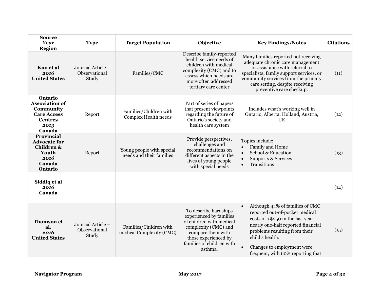| <b>Source</b><br>Year<br><b>Region</b>                                                                  | <b>Type</b>                                 | <b>Target Population</b>                              | Objective                                                                                                                                                                                 | <b>Key Findings/Notes</b>                                                                                                                                                                                                                                                                     | <b>Citations</b> |
|---------------------------------------------------------------------------------------------------------|---------------------------------------------|-------------------------------------------------------|-------------------------------------------------------------------------------------------------------------------------------------------------------------------------------------------|-----------------------------------------------------------------------------------------------------------------------------------------------------------------------------------------------------------------------------------------------------------------------------------------------|------------------|
| Kuo et al<br>2016<br><b>United States</b>                                                               | Journal Article -<br>Observational<br>Study | Families/CMC                                          | Describe family-reported<br>health service needs of<br>children with medical<br>complexity (CMC) and to<br>assess which needs are<br>more often addressed<br>tertiary care center         | Many families reported not receiving<br>adequate chronic care management<br>or assistance with referral to<br>specialists, family support services, or<br>community services from the primary<br>care setting, despite receiving<br>preventive care checkup.                                  | (11)             |
| Ontario<br><b>Association of</b><br>Community<br><b>Care Access</b><br><b>Centres</b><br>2013<br>Canada | Report                                      | Families/Children with<br>Complex Health needs        | Part of series of papers<br>that present viewpoints<br>regarding the future of<br>Ontario's society and<br>health care system                                                             | Includes what's working well in<br>Ontario, Alberta, Holland, Austria,<br><b>UK</b>                                                                                                                                                                                                           | (12)             |
| <b>Provincial</b><br><b>Advocate for</b><br><b>Children &amp;</b><br>Youth<br>2016<br>Canada<br>Ontario | Report                                      | Young people with special<br>needs and their families | Provide perspectives,<br>challenges and<br>recommendations on<br>different aspects in the<br>lives of young people<br>with special needs                                                  | Topics include:<br>Family and Home<br>$\bullet$<br>School & Education<br>$\bullet$<br><b>Supports &amp; Services</b><br>$\bullet$<br>Transitions<br>$\bullet$                                                                                                                                 | (13)             |
| Siddiq et al<br>2016<br>Canada                                                                          |                                             |                                                       |                                                                                                                                                                                           |                                                                                                                                                                                                                                                                                               | (14)             |
| <b>Thomson</b> et<br>al.<br>2016<br><b>United States</b>                                                | Journal Article -<br>Observational<br>Study | Families/Children with<br>medical Complexity (CMC)    | To describe hardships<br>experienced by families<br>of children with medical<br>complexity (CMC) and<br>compare them with<br>those experienced by<br>families of children with<br>asthma. | Although 44% of families of CMC<br>$\bullet$<br>reported out-of-pocket medical<br>costs of <\$250 in the last year,<br>nearly one-half reported financial<br>problems resulting from their<br>child's health.<br>Changes to employment were<br>$\bullet$<br>frequent, with 60% reporting that | (15)             |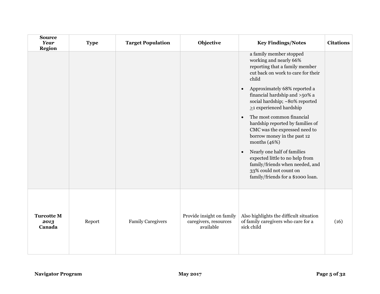| <b>Source</b><br><b>Year</b><br><b>Region</b> | <b>Type</b> | <b>Target Population</b> | Objective                                                       | <b>Key Findings/Notes</b>                                                                                                                                                     | <b>Citations</b> |
|-----------------------------------------------|-------------|--------------------------|-----------------------------------------------------------------|-------------------------------------------------------------------------------------------------------------------------------------------------------------------------------|------------------|
|                                               |             |                          |                                                                 | a family member stopped<br>working and nearly 66%<br>reporting that a family member<br>cut back on work to care for their<br>child                                            |                  |
|                                               |             |                          |                                                                 | Approximately 68% reported a<br>$\bullet$<br>financial hardship and >50% a<br>social hardship; ~80% reported<br>$\geq$ 1 experienced hardship                                 |                  |
|                                               |             |                          |                                                                 | The most common financial<br>$\bullet$<br>hardship reported by families of<br>CMC was the expressed need to<br>borrow money in the past 12<br>months $(46%)$                  |                  |
|                                               |             |                          |                                                                 | Nearly one half of families<br>$\bullet$<br>expected little to no help from<br>family/friends when needed, and<br>33% could not count on<br>family/friends for a \$1000 loan. |                  |
| <b>Turcotte M</b><br>2013<br>Canada           | Report      | <b>Family Caregivers</b> | Provide insight on family<br>caregivers, resources<br>available | Also highlights the difficult situation<br>of family caregivers who care for a<br>sick child                                                                                  | (16)             |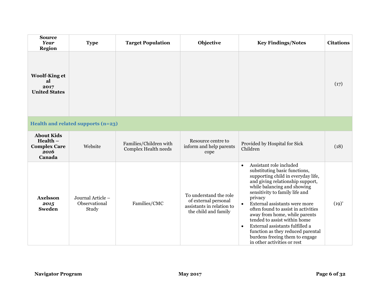<span id="page-8-0"></span>

| <b>Source</b><br><b>Year</b><br><b>Region</b>                            | <b>Type</b>                                 | <b>Target Population</b>                       | Objective                                                                                           | <b>Key Findings/Notes</b>                                                                                                                                                                                                                                                                                                                                                                                                                                                                                                               | <b>Citations</b> |
|--------------------------------------------------------------------------|---------------------------------------------|------------------------------------------------|-----------------------------------------------------------------------------------------------------|-----------------------------------------------------------------------------------------------------------------------------------------------------------------------------------------------------------------------------------------------------------------------------------------------------------------------------------------------------------------------------------------------------------------------------------------------------------------------------------------------------------------------------------------|------------------|
| <b>Woolf-King et</b><br>al<br>2017<br><b>United States</b>               |                                             |                                                |                                                                                                     |                                                                                                                                                                                                                                                                                                                                                                                                                                                                                                                                         | (17)             |
|                                                                          | Health and related supports (n=23)          |                                                |                                                                                                     |                                                                                                                                                                                                                                                                                                                                                                                                                                                                                                                                         |                  |
| <b>About Kids</b><br>$Health -$<br><b>Complex Care</b><br>2016<br>Canada | Website                                     | Families/Children with<br>Complex Health needs | Resource centre to<br>inform and help parents<br>cope                                               | Provided by Hospital for Sick<br>Children                                                                                                                                                                                                                                                                                                                                                                                                                                                                                               | (18)             |
| <b>Axelsson</b><br>2015<br><b>Sweden</b>                                 | Journal Article -<br>Observational<br>Study | Families/CMC                                   | To understand the role<br>of external personal<br>assistants in relation to<br>the child and family | Assistant role included<br>$\bullet$<br>substituting basic functions,<br>supporting child in everyday life,<br>and giving relationship support,<br>while balancing and showing<br>sensitivity to family life and<br>privacy<br>External assistants were more<br>$\bullet$<br>often found to assist in activities<br>away from home, while parents<br>tended to assist within home<br>External assistants fulfilled a<br>$\bullet$<br>function as they reduced parental<br>burdens freeing them to engage<br>in other activities or rest | $(19)^{*}$       |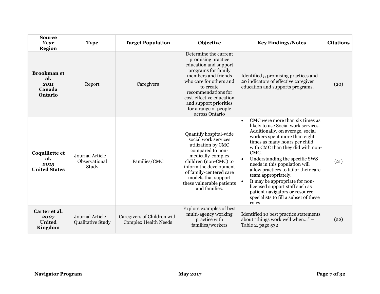| <b>Source</b><br><b>Year</b><br><b>Region</b>          | <b>Type</b>                                 | <b>Target Population</b>                                   | Objective                                                                                                                                                                                                                                                                          | <b>Key Findings/Notes</b>                                                                                                                                                                                                                                                                                                                                                                                                                                                                                                       | <b>Citations</b> |
|--------------------------------------------------------|---------------------------------------------|------------------------------------------------------------|------------------------------------------------------------------------------------------------------------------------------------------------------------------------------------------------------------------------------------------------------------------------------------|---------------------------------------------------------------------------------------------------------------------------------------------------------------------------------------------------------------------------------------------------------------------------------------------------------------------------------------------------------------------------------------------------------------------------------------------------------------------------------------------------------------------------------|------------------|
| <b>Brookman</b> et<br>al.<br>2011<br>Canada<br>Ontario | Report                                      | Caregivers                                                 | Determine the current<br>promising practice<br>education and support<br>programs for family<br>members and friends<br>who care for others and<br>to create<br>recommendations for<br>cost-effective education<br>and support priorities<br>for a range of people<br>across Ontario | Identified 5 promising practices and<br>20 indicators of effective caregiver<br>education and supports programs.                                                                                                                                                                                                                                                                                                                                                                                                                | (20)             |
| Coquillette et<br>al.<br>2015<br><b>United States</b>  | Journal Article -<br>Observational<br>Study | Families/CMC                                               | Quantify hospital-wide<br>social work services<br>utilization by CMC<br>compared to non-<br>medically-complex<br>children (non-CMC) to<br>inform the development<br>of family-centered care<br>models that support<br>these vulnerable patients<br>and families.                   | CMC were more than six times as<br>$\bullet$<br>likely to use Social work services.<br>Additionally, on average, social<br>workers spent more than eight<br>times as many hours per child<br>with CMC than they did with non-<br>CMC.<br>Understanding the specific SWS<br>needs in this population will<br>allow practices to tailor their care<br>team appropriately.<br>It may be appropriate for non-<br>licensed support staff such as<br>patient navigators or resource<br>specialists to fill a subset of these<br>roles | (21)             |
| Carter et al.<br>2007<br><b>United</b><br>Kingdom      | Journal Article -<br>Qualitative Study      | Caregivers of Children with<br><b>Complex Health Needs</b> | Explore examples of best<br>multi-agency working<br>practice with<br>families/workers                                                                                                                                                                                              | Identified 10 best practice statements<br>about "things work well when" -<br>Table 2, page 532                                                                                                                                                                                                                                                                                                                                                                                                                                  | (22)             |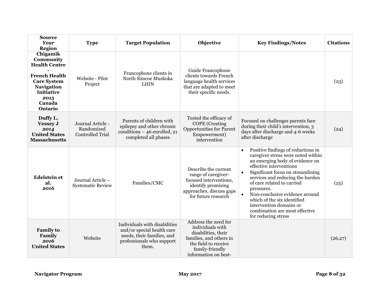| <b>Source</b><br><b>Year</b><br>Region                                                                                                                             | <b>Type</b>                                                | <b>Target Population</b>                                                                                                        | Objective                                                                                                                                                     | <b>Key Findings/Notes</b>                                                                                                                                                                                                                                                                                                                                                                                                                               | <b>Citations</b> |
|--------------------------------------------------------------------------------------------------------------------------------------------------------------------|------------------------------------------------------------|---------------------------------------------------------------------------------------------------------------------------------|---------------------------------------------------------------------------------------------------------------------------------------------------------------|---------------------------------------------------------------------------------------------------------------------------------------------------------------------------------------------------------------------------------------------------------------------------------------------------------------------------------------------------------------------------------------------------------------------------------------------------------|------------------|
| Chigamik<br>Community<br><b>Health Centre</b><br><b>French Health</b><br><b>Care System</b><br><b>Navigation</b><br><b>Initiative</b><br>2015<br>Canada<br>Ontario | Website - Pilot<br>Project                                 | Francophone clients in<br>North Simcoe Muskoka<br><b>LHIN</b>                                                                   | Guide Francophone<br>clients towards French<br>language health services<br>that are adapted to meet<br>their specific needs.                                  |                                                                                                                                                                                                                                                                                                                                                                                                                                                         | (23)             |
| Duffy L,<br><b>Vessey J</b><br>2014<br><b>United States</b><br><b>Massachusetts</b>                                                                                | Journal Article -<br>Randomized<br><b>Controlled Trial</b> | Parents of children with<br>epilepsy and other chronic<br>conditions - 46 enrolled, 21<br>completed all phases                  | Tested the efficacy of<br><b>COPE</b> (Creating<br><b>Opportunities for Parent</b><br>Empowerment)<br>intervention                                            | Focused on challenges parents face<br>during their child's intervention, 3<br>days after discharge and 4-6 weeks<br>after discharge                                                                                                                                                                                                                                                                                                                     | (24)             |
| <b>Edelstein et</b><br>al.<br>2016                                                                                                                                 | Journal Article -<br><b>Systematic Review</b>              | Families/CMC                                                                                                                    | Describe the current<br>range of caregiver-<br>focused interventions,<br>identify promising<br>approaches, discuss gaps<br>for future research                | Positive findings of reductions in<br>$\bullet$<br>caregiver stress were noted within<br>an emerging body of evidence on<br>effective interventions<br>Significant focus on streamlining<br>$\bullet$<br>services and reducing the burden<br>of care related to carried<br>pressures.<br>Non-conclusive evidence around<br>$\bullet$<br>which of the six identified<br>intervention domains or<br>combination are most effective<br>for reducing stress | (25)             |
| <b>Family to</b><br>Family<br>2016<br><b>United States</b>                                                                                                         | Website                                                    | Individuals with disabilities<br>and/or special health care<br>needs, their families, and<br>professionals who support<br>them. | Address the need for<br>individuals with<br>disabilities, their<br>families, and others in<br>the field to receive<br>family-friendly<br>information on best- |                                                                                                                                                                                                                                                                                                                                                                                                                                                         | (26,27)          |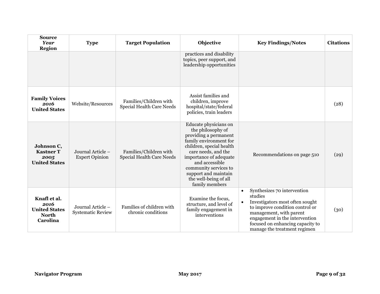| <b>Source</b><br><b>Year</b><br>Region                                   | <b>Type</b>                                   | <b>Target Population</b>                                   | Objective                                                                                                                                                                                                                                                                                | <b>Key Findings/Notes</b>                                                                                                                                                                                                                                               | <b>Citations</b> |
|--------------------------------------------------------------------------|-----------------------------------------------|------------------------------------------------------------|------------------------------------------------------------------------------------------------------------------------------------------------------------------------------------------------------------------------------------------------------------------------------------------|-------------------------------------------------------------------------------------------------------------------------------------------------------------------------------------------------------------------------------------------------------------------------|------------------|
|                                                                          |                                               |                                                            | practices and disability<br>topics, peer support, and<br>leadership opportunities                                                                                                                                                                                                        |                                                                                                                                                                                                                                                                         |                  |
| <b>Family Voices</b><br>2016<br><b>United States</b>                     | Website/Resources                             | Families/Children with<br><b>Special Health Care Needs</b> | Assist families and<br>children, improve<br>hospital/state/federal<br>policies, train leaders                                                                                                                                                                                            |                                                                                                                                                                                                                                                                         | (28)             |
| Johnson C,<br><b>Kastner T</b><br>2005<br><b>United States</b>           | Journal Article –<br><b>Expert Opinion</b>    | Families/Children with<br>Special Health Care Needs        | Educate physicians on<br>the philosophy of<br>providing a permanent<br>family environment for<br>children, special health<br>care needs, and the<br>importance of adequate<br>and accessible<br>community services to<br>support and maintain<br>the well-being of all<br>family members | Recommendations on page 510                                                                                                                                                                                                                                             | (29)             |
| Knafl et al.<br>2016<br><b>United States</b><br><b>North</b><br>Carolina | Journal Article –<br><b>Systematic Review</b> | Families of children with<br>chronic conditions            | Examine the focus,<br>structure, and level of<br>family engagement in<br>interventions                                                                                                                                                                                                   | Synthesizes 70 intervention<br>$\bullet$<br>studies<br>Investigators most often sought<br>$\bullet$<br>to improve condition control or<br>management, with parent<br>engagement in the intervention<br>focused on enhancing capacity to<br>manage the treatment regimen | (30)             |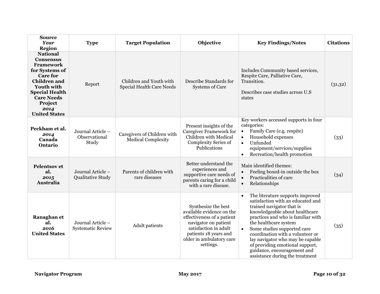| <b>Source</b><br><b>Year</b><br><b>Region</b>                                                                                                                                                                                     | <b>Type</b>                                   | <b>Target Population</b>                                    | Objective                                                                                                                                                                                         | <b>Key Findings/Notes</b>                                                                                                                                                                                                                                                                                                                                                                                                    | <b>Citations</b> |
|-----------------------------------------------------------------------------------------------------------------------------------------------------------------------------------------------------------------------------------|-----------------------------------------------|-------------------------------------------------------------|---------------------------------------------------------------------------------------------------------------------------------------------------------------------------------------------------|------------------------------------------------------------------------------------------------------------------------------------------------------------------------------------------------------------------------------------------------------------------------------------------------------------------------------------------------------------------------------------------------------------------------------|------------------|
| <b>National</b><br><b>Consensus</b><br><b>Framework</b><br>for Systems of<br><b>Care for</b><br><b>Children</b> and<br><b>Youth with</b><br><b>Special Health</b><br><b>Care Needs</b><br>Project<br>2014<br><b>United States</b> | Report                                        | Children and Youth with<br><b>Special Health Care Needs</b> | Describe Standards for<br><b>Systems of Care</b>                                                                                                                                                  | Includes Community based services,<br>Respite Care, Palliative Care,<br>Transition.<br>Describes case studies across U.S.<br>states                                                                                                                                                                                                                                                                                          | (31,32)          |
| Peckham et al.<br>2014<br>Canada<br><b>Ontario</b>                                                                                                                                                                                | Journal Article -<br>Observational<br>Study   | Caregivers of Children with<br><b>Medical Complexity</b>    | Present insights of the<br><b>Caregiver Framework for</b><br>Children with Medical<br>Complexity Series of<br>Publications                                                                        | Key workers accessed supports in four<br>categories:<br>Family Care (e.g. respite)<br>$\bullet$<br>Household expenses<br>$\bullet$<br>Unfunded<br>$\bullet$<br>equipment/services/supplies<br>Recreation/health promotion<br>$\bullet$                                                                                                                                                                                       | (33)             |
| <b>Pelentsov</b> et<br>al.<br>2015<br>Australia                                                                                                                                                                                   | Journal Article -<br>Qualitative Study        | Parents of children with<br>rare diseases                   | Better understand the<br>experiences and<br>supportive care needs of<br>parents caring for a child<br>with a rare disease.                                                                        | Main identified themes:<br>Feeling boxed-in outside the box<br>$\bullet$<br>Practicalities of care<br>$\bullet$<br>Relationships<br>$\bullet$                                                                                                                                                                                                                                                                                | (34)             |
| Ranaghan et<br>al.<br>2016<br><b>United States</b>                                                                                                                                                                                | Journal Article -<br><b>Systematic Review</b> | <b>Adult</b> patients                                       | Synthesize the best<br>available evidence on the<br>effectiveness of a patient<br>navigator on patient<br>satisfaction in adult<br>patients 18 years and<br>older in ambulatory care<br>settings. | The literature supports improved<br>$\bullet$<br>satisfaction with an educated and<br>trained navigator that is<br>knowledgeable about healthcare<br>practices and who is familiar with<br>the healthcare system<br>Some studies supported care<br>coordination with a volunteer or<br>lay navigator who may be capable<br>of providing emotional support,<br>guidance, encouragement and<br>assistance during the treatment | (35)             |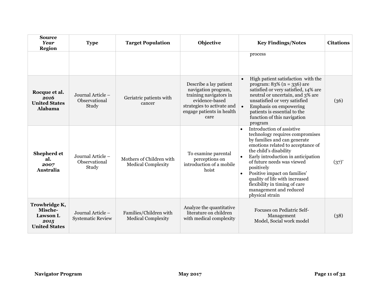| <b>Source</b><br><b>Year</b><br><b>Region</b>                               | <b>Type</b>                                   | <b>Target Population</b>                              | Objective                                                                                                                                                    | <b>Key Findings/Notes</b>                                                                                                                                                                                                                                                                                                                                                                                               | <b>Citations</b> |
|-----------------------------------------------------------------------------|-----------------------------------------------|-------------------------------------------------------|--------------------------------------------------------------------------------------------------------------------------------------------------------------|-------------------------------------------------------------------------------------------------------------------------------------------------------------------------------------------------------------------------------------------------------------------------------------------------------------------------------------------------------------------------------------------------------------------------|------------------|
|                                                                             |                                               |                                                       |                                                                                                                                                              | process                                                                                                                                                                                                                                                                                                                                                                                                                 |                  |
| Rocque et al.<br>2016<br><b>United States</b><br><b>Alabama</b>             | Journal Article -<br>Observational<br>Study   | Geriatric patients with<br>cancer                     | Describe a lay patient<br>navigation program,<br>training navigators in<br>evidence-based<br>strategies to activate and<br>engage patients in health<br>care | High patient satisfaction with the<br>$\bullet$<br>program: $83\%$ (n = 336) are<br>satisfied or very satisfied, 14% are<br>neutral or uncertain, and 3% are<br>unsatisfied or very satisfied<br>Emphasis on empowering<br>$\bullet$<br>patients is essential to the<br>function of this navigation<br>program                                                                                                          | (36)             |
| Shepherd et<br>al.<br>2007<br><b>Australia</b>                              | Journal Article -<br>Observational<br>Study   | Mothers of Children with<br><b>Medical Complexity</b> | To examine parental<br>perceptions on<br>introduction of a mobile<br>hoist                                                                                   | Introduction of assistive<br>$\bullet$<br>technology requires compromises<br>by families and can generate<br>emotions related to acceptance of<br>the child's disability<br>Early introduction in anticipation<br>of future needs was viewed<br>positively<br>Positive impact on families'<br>$\bullet$<br>quality of life with increased<br>flexibility in timing of care<br>management and reduced<br>physical strain | $(37)^{*}$       |
| Trowbridge K,<br>Mische-<br><b>Lawson L</b><br>2015<br><b>United States</b> | Journal Article –<br><b>Systematic Review</b> | Families/Children with<br><b>Medical Complexity</b>   | Analyze the quantitative<br>literature on children<br>with medical complexity                                                                                | <b>Focuses on Pediatric Self-</b><br>Management<br>Model, Social work model                                                                                                                                                                                                                                                                                                                                             | (38)             |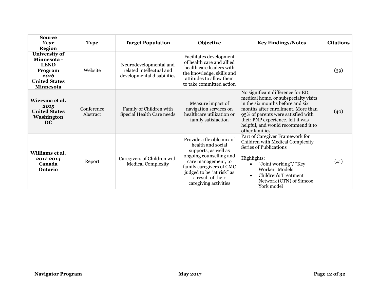| <b>Source</b><br><b>Year</b><br><b>Region</b>                                                              | <b>Type</b>            | <b>Target Population</b>                                                         | Objective                                                                                                                                                                                                                       | <b>Key Findings/Notes</b>                                                                                                                                                                                                                                                              | <b>Citations</b> |
|------------------------------------------------------------------------------------------------------------|------------------------|----------------------------------------------------------------------------------|---------------------------------------------------------------------------------------------------------------------------------------------------------------------------------------------------------------------------------|----------------------------------------------------------------------------------------------------------------------------------------------------------------------------------------------------------------------------------------------------------------------------------------|------------------|
| University of<br>Minnesota -<br><b>LEND</b><br>Program<br>2016<br><b>United States</b><br><b>Minnesota</b> | Website                | Neurodevelopmental and<br>related intellectual and<br>developmental disabilities | Facilitates development<br>of health care and allied<br>health care leaders with<br>the knowledge, skills and<br>attitudes to allow them<br>to take committed action                                                            |                                                                                                                                                                                                                                                                                        | (39)             |
| Wiersma et al.<br>2015<br><b>United States</b><br>Washington<br><b>DC</b>                                  | Conference<br>Abstract | Family of Children with<br>Special Health Care needs                             | Measure impact of<br>navigation services on<br>healthcare utilization or<br>family satisfaction                                                                                                                                 | No significant difference for ED,<br>medical home, or subspecialty visits<br>in the six months before and six<br>months after enrollment. More than<br>95% of parents were satisfied with<br>their PNP experience, felt it was<br>helpful, and would recommend it to<br>other families | (40)             |
| Williams et al.<br>2011-2014<br>Canada<br>Ontario                                                          | Report                 | Caregivers of Children with<br><b>Medical Complexity</b>                         | Provide a flexible mix of<br>health and social<br>supports, as well as<br>ongoing counselling and<br>care management, to<br>family caregivers of CMC<br>judged to be "at risk" as<br>a result of their<br>caregiving activities | Part of Caregiver Framework for<br>Children with Medical Complexity<br>Series of Publications<br>Highlights:<br>"Joint working"/ "Key<br>Worker" Models<br>Children's Treatment<br>$\bullet$<br>Network (CTN) of Simcoe<br>York model                                                  | (41)             |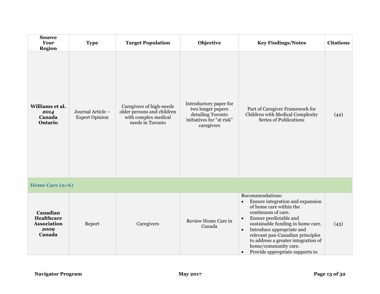<span id="page-15-0"></span>

| <b>Source</b><br><b>Year</b><br><b>Region</b>                         | <b>Type</b>                                | <b>Target Population</b>                                                                           | Objective                                                                                                   | <b>Key Findings/Notes</b>                                                                                                                                                                                                                                                                                                                                                                   | <b>Citations</b> |
|-----------------------------------------------------------------------|--------------------------------------------|----------------------------------------------------------------------------------------------------|-------------------------------------------------------------------------------------------------------------|---------------------------------------------------------------------------------------------------------------------------------------------------------------------------------------------------------------------------------------------------------------------------------------------------------------------------------------------------------------------------------------------|------------------|
| Williams et al.<br>2014<br>Canada<br>Ontario                          | Journal Article -<br><b>Expert Opinion</b> | Caregivers of high-needs<br>older persons and children<br>with complex medical<br>needs in Toronto | Introductory paper for<br>two longer papers<br>detailing Toronto<br>initiatives for "at risk"<br>caregivers | Part of Caregiver Framework for<br>Children with Medical Complexity<br>Series of Publications                                                                                                                                                                                                                                                                                               | (42)             |
| Home Care (n=6)                                                       |                                            |                                                                                                    |                                                                                                             |                                                                                                                                                                                                                                                                                                                                                                                             |                  |
| Canadian<br><b>Healthcare</b><br><b>Association</b><br>2009<br>Canada | Report                                     | Caregivers                                                                                         | Review Home Care in<br>Canada                                                                               | Recommendations:<br>Ensure integration and expansion<br>$\bullet$<br>of home care within the<br>continuum of care.<br>Ensure predictable and<br>$\bullet$<br>sustainable funding in home care.<br>Introduce appropriate and<br>$\bullet$<br>relevant pan-Canadian principles<br>to address a greater integration of<br>home/community care.<br>Provide appropriate supports to<br>$\bullet$ | (43)             |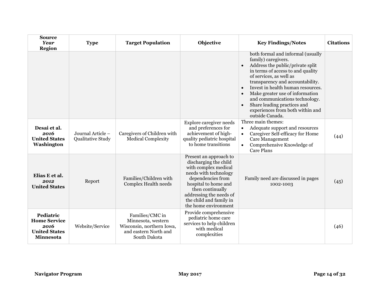| <b>Source</b><br><b>Year</b><br><b>Region</b>                                        | <b>Type</b>                                   | <b>Target Population</b>                                                                                    | Objective                                                                                                                                                                                                                                       | <b>Key Findings/Notes</b>                                                                                                                                                                                                                                                                                                                                                                                                               | <b>Citations</b> |
|--------------------------------------------------------------------------------------|-----------------------------------------------|-------------------------------------------------------------------------------------------------------------|-------------------------------------------------------------------------------------------------------------------------------------------------------------------------------------------------------------------------------------------------|-----------------------------------------------------------------------------------------------------------------------------------------------------------------------------------------------------------------------------------------------------------------------------------------------------------------------------------------------------------------------------------------------------------------------------------------|------------------|
|                                                                                      |                                               |                                                                                                             |                                                                                                                                                                                                                                                 | both formal and informal (usually<br>family) caregivers.<br>Address the public/private split<br>in terms of access to and quality<br>of services, as well as<br>transparency and accountability.<br>Invest in health human resources.<br>$\bullet$<br>Make greater use of information<br>$\bullet$<br>and communications technology.<br>Share leading practices and<br>$\bullet$<br>experiences from both within and<br>outside Canada. |                  |
| Desai et al.<br>2016<br><b>United States</b><br>Washington                           | Journal Article -<br><b>Qualitative Study</b> | Caregivers of Children with<br><b>Medical Complexity</b>                                                    | Explore caregiver needs<br>and preferences for<br>achievement of high-<br>quality pediatric hospital<br>to home transitions                                                                                                                     | Three main themes:<br>Adequate support and resources<br>$\bullet$<br>Caregiver Self-efficacy for Home<br>$\bullet$<br><b>Care Management</b><br>Comprehensive Knowledge of<br><b>Care Plans</b>                                                                                                                                                                                                                                         | (44)             |
| Elias E et al.<br>2012<br><b>United States</b>                                       | Report                                        | Families/Children with<br>Complex Health needs                                                              | Present an approach to<br>discharging the child<br>with complex medical<br>needs with technology<br>dependencies from<br>hospital to home and<br>then continually<br>addressing the needs of<br>the child and family in<br>the home environment | Family need are discussed in pages<br>1002-1003                                                                                                                                                                                                                                                                                                                                                                                         | (45)             |
| Pediatric<br><b>Home Service</b><br>2016<br><b>United States</b><br><b>Minnesota</b> | Website/Service                               | Families/CMC in<br>Minnesota, western<br>Wisconsin, northern Iowa,<br>and eastern North and<br>South Dakota | Provide comprehensive<br>pediatric home care<br>services to help children<br>with medical<br>complexities                                                                                                                                       |                                                                                                                                                                                                                                                                                                                                                                                                                                         | (46)             |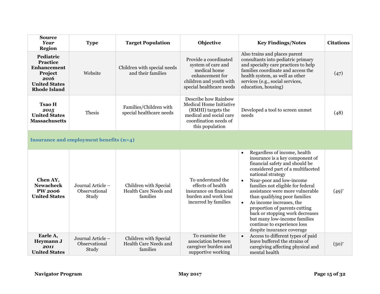<span id="page-17-0"></span>

| <b>Source</b><br>Year<br><b>Region</b>                                                                        | <b>Type</b>                                 | <b>Target Population</b>                                   | Objective                                                                                                                                    | <b>Key Findings/Notes</b>                                                                                                                                                                                                                                                                                                                                                                                                                                                                                                            | <b>Citations</b> |
|---------------------------------------------------------------------------------------------------------------|---------------------------------------------|------------------------------------------------------------|----------------------------------------------------------------------------------------------------------------------------------------------|--------------------------------------------------------------------------------------------------------------------------------------------------------------------------------------------------------------------------------------------------------------------------------------------------------------------------------------------------------------------------------------------------------------------------------------------------------------------------------------------------------------------------------------|------------------|
| Pediatric<br>Practice<br><b>Enhancement</b><br>Project<br>2016<br><b>United States</b><br><b>Rhode Island</b> | Website                                     | Children with special needs<br>and their families          | Provide a coordinated<br>system of care and<br>medical home<br>enhancement for<br>children and youth with<br>special healthcare needs        | Also trains and places parent<br>consultants into pediatric primary<br>and specialty care practices to help<br>families coordinate and access the<br>health system, as well as other<br>services (e.g., social services,<br>education, housing)                                                                                                                                                                                                                                                                                      | (47)             |
| <b>Tsao H</b><br>2015<br><b>United States</b><br><b>Massachusetts</b>                                         | Thesis                                      | Families/Children with<br>special healthcare needs         | Describe how Rainbow<br>Medical Home Initiative<br>(RMHI) targets the<br>medical and social care<br>coordination needs of<br>this population | Developed a tool to screen unmet<br>needs                                                                                                                                                                                                                                                                                                                                                                                                                                                                                            | (48)             |
|                                                                                                               | Insurance and employment benefits (n=4)     |                                                            |                                                                                                                                              |                                                                                                                                                                                                                                                                                                                                                                                                                                                                                                                                      |                  |
| Chen AY,<br><b>Newacheck</b><br><b>PW 2006</b><br><b>United States</b>                                        | Journal Article -<br>Observational<br>Study | Children with Special<br>Health Care Needs and<br>families | To understand the<br>effects of health<br>insurance on financial<br>burden and work loss<br>incurred by families                             | Regardless of income, health<br>$\bullet$<br>insurance is a key component of<br>financial safety and should be<br>considered part of a multifaceted<br>national strategy<br>Near-poor and low-income<br>$\bullet$<br>families not eligible for federal<br>assistance were more vulnerable<br>than qualifying poor families<br>As income increases, the<br>$\bullet$<br>proportion of parents cutting<br>back or stopping work decreases<br>but many low-income families<br>continue to experience loss<br>despite insurance coverage | $(49)^{*}$       |
| Earle A,<br>Heymann J<br>2011<br><b>United States</b>                                                         | Journal Article -<br>Observational<br>Study | Children with Special<br>Health Care Needs and<br>families | To examine the<br>association between<br>caregiver burden and<br>supportive working                                                          | Access to different types of paid<br>$\bullet$<br>leave buffered the strains of<br>caregiving affecting physical and<br>mental health                                                                                                                                                                                                                                                                                                                                                                                                | $(50)^{*}$       |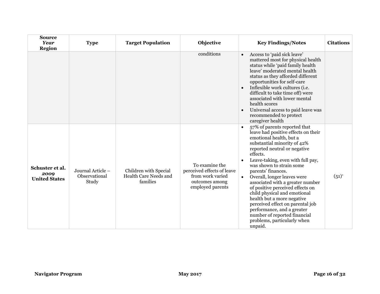| <b>Source</b><br><b>Year</b><br><b>Region</b>   | <b>Type</b>                                 | <b>Target Population</b>                                   | Objective                                                                                              | <b>Key Findings/Notes</b>                                                                                                                                                                                                                                                                                                                                                                                                                                                                                                                                                                                   | <b>Citations</b> |
|-------------------------------------------------|---------------------------------------------|------------------------------------------------------------|--------------------------------------------------------------------------------------------------------|-------------------------------------------------------------------------------------------------------------------------------------------------------------------------------------------------------------------------------------------------------------------------------------------------------------------------------------------------------------------------------------------------------------------------------------------------------------------------------------------------------------------------------------------------------------------------------------------------------------|------------------|
|                                                 |                                             |                                                            | conditions                                                                                             | Access to 'paid sick leave'<br>$\bullet$<br>mattered most for physical health<br>status while 'paid family health<br>leave' moderated mental health<br>status as they afforded different<br>opportunities for self-care<br>Inflexible work cultures (i.e.<br>$\bullet$<br>difficult to take time off) were<br>associated with lower mental<br>health scores<br>Universal access to paid leave was<br>$\bullet$<br>recommended to protect<br>caregiver health                                                                                                                                                |                  |
| Schuster et al.<br>2009<br><b>United States</b> | Journal Article -<br>Observational<br>Study | Children with Special<br>Health Care Needs and<br>families | To examine the<br>perceived effects of leave<br>from work varied<br>outcomes among<br>employed parents | 57% of parents reported that<br>$\bullet$<br>leave had positive effects on their<br>emotional health, but a<br>substantial minority of 42%<br>reported neutral or negative<br>effects.<br>Leave-taking, even with full pay,<br>was shown to strain some<br>parents' finances.<br>Overall, longer leaves were<br>$\bullet$<br>associated with a greater number<br>of positive perceived effects on<br>child physical and emotional<br>health but a more negative<br>perceived effect on parental job<br>performance, and a greater<br>number of reported financial<br>problems, particularly when<br>unpaid. | $(51)^{*}$       |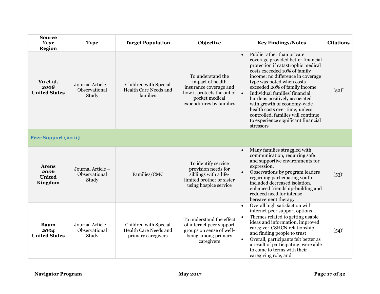<span id="page-19-0"></span>

| <b>Source</b><br><b>Year</b><br><b>Region</b>    | <b>Type</b>                                 | <b>Target Population</b>                                             | Objective                                                                                                                                   | <b>Key Findings/Notes</b>                                                                                                                                                                                                                                                                                                                                                                                                                                                                         | <b>Citations</b> |
|--------------------------------------------------|---------------------------------------------|----------------------------------------------------------------------|---------------------------------------------------------------------------------------------------------------------------------------------|---------------------------------------------------------------------------------------------------------------------------------------------------------------------------------------------------------------------------------------------------------------------------------------------------------------------------------------------------------------------------------------------------------------------------------------------------------------------------------------------------|------------------|
| Yu et al.<br>2008<br><b>United States</b>        | Journal Article -<br>Observational<br>Study | Children with Special<br>Health Care Needs and<br>families           | To understand the<br>impact of health<br>insurance coverage and<br>how it protects the out of<br>pocket medical<br>expenditures by families | Public rather than private<br>$\bullet$<br>coverage provided better financial<br>protection if catastrophic medical<br>costs exceeded 10% of family<br>income; no difference in coverage<br>type was noted when costs<br>exceeded 20% of family income<br>Individual families' financial<br>$\bullet$<br>burdens positively associated<br>with growth of economy-wide<br>health costs over time; unless<br>controlled, families will continue<br>to experience significant financial<br>stressors | $(52)^{*}$       |
| <b>Peer Support (n=11)</b>                       |                                             |                                                                      |                                                                                                                                             |                                                                                                                                                                                                                                                                                                                                                                                                                                                                                                   |                  |
| <b>Arens</b><br>2006<br><b>United</b><br>Kingdom | Journal Article -<br>Observational<br>Study | Families/CMC                                                         | To identify service<br>provision needs for<br>siblings with a life-<br>limited brother or sister<br>using hospice service                   | Many families struggled with<br>$\bullet$<br>communication, requiring safe<br>and supportive environments for<br>expression.<br>Observations by program leaders<br>regarding participating youth<br>included decreased isolation,<br>enhanced friendship-building and<br>reduced need for intense<br>bereavement therapy                                                                                                                                                                          | $(53)^{*}$       |
| <b>Baum</b><br>2004<br><b>United States</b>      | Journal Article -<br>Observational<br>Study | Children with Special<br>Health Care Needs and<br>primary caregivers | To understand the effect<br>of internet peer support<br>groups on sense of well-<br>being among primary<br>caregivers                       | Overall high satisfaction with<br>internet peer support options<br>Themes related to getting usable<br>ideas and information, improved<br>caregiver-CSHCN relationship,<br>and finding people to trust<br>Overall, participants felt better as<br>$\bullet$<br>a result of participating, were able<br>to come to terms with their<br>caregiving role, and                                                                                                                                        | $(54)^{*}$       |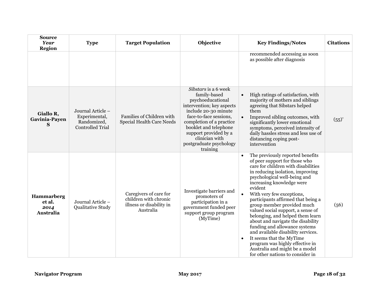| <b>Source</b><br>Year<br><b>Region</b>           | <b>Type</b>                                                                  | <b>Target Population</b>                                                                 | Objective                                                                                                                                                                                                                                                                       | <b>Key Findings/Notes</b>                                                                                                                                                                                                                                                                                                                                                                                                                                                                                                                                                                                                                                                              | <b>Citations</b> |
|--------------------------------------------------|------------------------------------------------------------------------------|------------------------------------------------------------------------------------------|---------------------------------------------------------------------------------------------------------------------------------------------------------------------------------------------------------------------------------------------------------------------------------|----------------------------------------------------------------------------------------------------------------------------------------------------------------------------------------------------------------------------------------------------------------------------------------------------------------------------------------------------------------------------------------------------------------------------------------------------------------------------------------------------------------------------------------------------------------------------------------------------------------------------------------------------------------------------------------|------------------|
|                                                  |                                                                              |                                                                                          |                                                                                                                                                                                                                                                                                 | recommended accessing as soon<br>as possible after diagnosis                                                                                                                                                                                                                                                                                                                                                                                                                                                                                                                                                                                                                           |                  |
| Giallo R,<br>Gavinia-Payen<br>S                  | Journal Article -<br>Experimental,<br>Randomized,<br><b>Controlled Trial</b> | Families of Children with<br><b>Special Health Care Needs</b>                            | Sibstars is a 6 week<br>family-based<br>psychoeducational<br>intervention; key aspects<br>include 20-30 minute<br>face-to-face sessions,<br>completion of a practice<br>booklet and telephone<br>support provided by a<br>clinician with<br>postgraduate psychology<br>training | High ratings of satisfaction, with<br>$\bullet$<br>majority of mothers and siblings<br>agreeing that Sibstars helped<br>them<br>Improved sibling outcomes, with<br>significantly lower emotional<br>symptoms, perceived intensity of<br>daily hassles stress and less use of<br>distancing coping post-<br>intervention                                                                                                                                                                                                                                                                                                                                                                | $(55)^{*}$       |
| <b>Hammarberg</b><br>et al.<br>2014<br>Australia | Journal Article -<br>Qualitative Study                                       | Caregivers of care for<br>children with chronic<br>illness or disability in<br>Australia | Investigate barriers and<br>promoters of<br>participation in a<br>government funded peer<br>support group program<br>(MyTime)                                                                                                                                                   | The previously reported benefits<br>$\bullet$<br>of peer support for those who<br>care for children with disabilities<br>in reducing isolation, improving<br>psychological well-being and<br>increasing knowledge were<br>evident<br>With very few exceptions,<br>$\bullet$<br>participants affirmed that being a<br>group member provided much<br>valued social support, a sense of<br>belonging, and helped them learn<br>about and navigate the disability<br>funding and allowance systems<br>and available disability services.<br>It seems that the MyTime<br>$\bullet$<br>program was highly effective in<br>Australia and might be a model<br>for other nations to consider in | (56)             |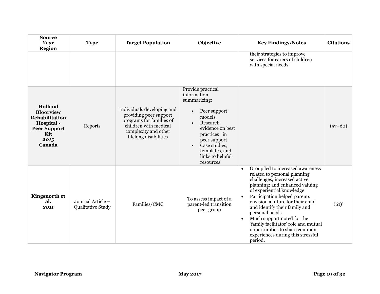| <b>Source</b><br><b>Year</b><br><b>Region</b>                                                                      | <b>Type</b>                            | <b>Target Population</b>                                                                                                                                   | Objective                                                                                                                                                                                                                   | <b>Key Findings/Notes</b>                                                                                                                                                                                                                                                                                                                                                                                                                                                             | <b>Citations</b> |
|--------------------------------------------------------------------------------------------------------------------|----------------------------------------|------------------------------------------------------------------------------------------------------------------------------------------------------------|-----------------------------------------------------------------------------------------------------------------------------------------------------------------------------------------------------------------------------|---------------------------------------------------------------------------------------------------------------------------------------------------------------------------------------------------------------------------------------------------------------------------------------------------------------------------------------------------------------------------------------------------------------------------------------------------------------------------------------|------------------|
|                                                                                                                    |                                        |                                                                                                                                                            |                                                                                                                                                                                                                             | their strategies to improve<br>services for carers of children<br>with special needs.                                                                                                                                                                                                                                                                                                                                                                                                 |                  |
| Holland<br><b>Bloorview</b><br><b>Rehabilitation</b><br>Hospital -<br><b>Peer Support</b><br>Kit<br>2015<br>Canada | Reports                                | Individuals developing and<br>providing peer support<br>programs for families of<br>children with medical<br>complexity and other<br>lifelong disabilities | Provide practical<br>information<br>summarizing:<br>Peer support<br>models<br>Research<br>$\bullet$<br>evidence on best<br>practices in<br>peer support<br>Case studies,<br>templates, and<br>links to helpful<br>resources |                                                                                                                                                                                                                                                                                                                                                                                                                                                                                       | $(57-60)$        |
| <b>Kingsnorth et</b><br>al.<br>2011                                                                                | Journal Article -<br>Qualitative Study | Families/CMC                                                                                                                                               | To assess impact of a<br>parent-led transition<br>peer group                                                                                                                                                                | Group led to increased awareness<br>$\bullet$<br>related to personal planning<br>challenges; increased active<br>planning; and enhanced valuing<br>of experiential knowledge<br>Participation helped parents<br>$\bullet$<br>envision a future for their child<br>and identify their family and<br>personal needs<br>Much support noted for the<br>$\bullet$<br>'family facilitator' role and mutual<br>opportunities to share common<br>experiences during this stressful<br>period. | $(61)^{*}$       |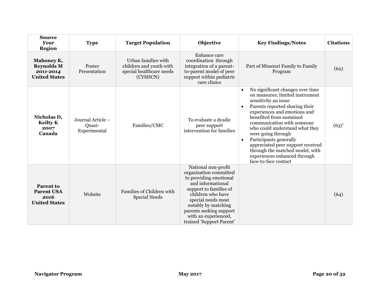| <b>Source</b><br><b>Year</b><br><b>Region</b>                         | <b>Type</b>                                 | <b>Target Population</b>                                                               | Objective                                                                                                                                                                                                                                                               | <b>Key Findings/Notes</b>                                                                                                                                                                                                                                                                                                                                                                                                                                                        | <b>Citations</b> |
|-----------------------------------------------------------------------|---------------------------------------------|----------------------------------------------------------------------------------------|-------------------------------------------------------------------------------------------------------------------------------------------------------------------------------------------------------------------------------------------------------------------------|----------------------------------------------------------------------------------------------------------------------------------------------------------------------------------------------------------------------------------------------------------------------------------------------------------------------------------------------------------------------------------------------------------------------------------------------------------------------------------|------------------|
| Mahoney K,<br><b>Reynolds M</b><br>2011-2014<br><b>United States</b>  | Poster<br>Presentation                      | Urban families with<br>children and youth with<br>special healthcare needs<br>(CYSHCN) | Enhance care<br>coordination through<br>integration of a parent-<br>to-parent model of peer<br>support within pediatric<br>care clinics                                                                                                                                 | Part of Missouri Family to Family<br>Program                                                                                                                                                                                                                                                                                                                                                                                                                                     | (62)             |
| Nicholas D,<br><b>Keilty K</b><br>2007<br>Canada                      | Journal Article -<br>Quasi-<br>Experimental | Families/CMC                                                                           | To evaluate a dyadic<br>peer support<br>intervention for families                                                                                                                                                                                                       | No significant changes over time<br>$\bullet$<br>on measures; limited instrument<br>sensitivity an issue<br>Parents reported sharing their<br>$\bullet$<br>experiences and emotions and<br>benefited from sustained<br>communication with someone<br>who could understand what they<br>were going through<br>Participants generally<br>$\bullet$<br>appreciated peer support received<br>through the matched model, with<br>experiences enhanced through<br>face-to-face contact | $(63)^{*}$       |
| <b>Parent to</b><br><b>Parent USA</b><br>2016<br><b>United States</b> | Website                                     | Families of Children with<br><b>Special Needs</b>                                      | National non-profit<br>organization committed<br>to providing emotional<br>and informational<br>support to families of<br>children who have<br>special needs most<br>notably by matching<br>parents seeking support<br>with an experienced,<br>trained 'Support Parent' |                                                                                                                                                                                                                                                                                                                                                                                                                                                                                  | (64)             |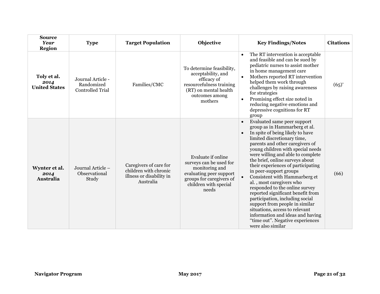| <b>Source</b><br><b>Year</b><br>Region      | <b>Type</b>                                                | <b>Target Population</b>                                                                 | Objective                                                                                                                                                | <b>Key Findings/Notes</b>                                                                                                                                                                                                                                                                                                                                                                                                                                                                                                                                                                                                                                                                                         | <b>Citations</b> |
|---------------------------------------------|------------------------------------------------------------|------------------------------------------------------------------------------------------|----------------------------------------------------------------------------------------------------------------------------------------------------------|-------------------------------------------------------------------------------------------------------------------------------------------------------------------------------------------------------------------------------------------------------------------------------------------------------------------------------------------------------------------------------------------------------------------------------------------------------------------------------------------------------------------------------------------------------------------------------------------------------------------------------------------------------------------------------------------------------------------|------------------|
| Toly et al.<br>2014<br><b>United States</b> | Journal Article -<br>Randomized<br><b>Controlled Trial</b> | Families/CMC                                                                             | To determine feasibility,<br>acceptability, and<br>efficacy of<br>resourcefulness training<br>(RT) on mental health<br>outcomes among<br>mothers         | The RT intervention is acceptable<br>$\bullet$<br>and feasible and can be sued by<br>pediatric nurses to assist mother<br>in home management care<br>Mothers reported RT intervention<br>$\bullet$<br>helped them work through<br>challenges by raising awareness<br>for strategies<br>Promising effect size noted in<br>reducing negative emotions and<br>depressive cognitions for RT<br>group                                                                                                                                                                                                                                                                                                                  | $(65)$ *         |
| Wynter et al.<br>2014<br><b>Australia</b>   | Journal Article -<br>Observational<br>Study                | Caregivers of care for<br>children with chronic<br>illness or disability in<br>Australia | Evaluate if online<br>surveys can be used for<br>monitoring and<br>evaluating peer support<br>groups for caregivers of<br>children with special<br>needs | Evaluated same peer support<br>$\bullet$<br>group as in Hammarberg et al.<br>In spite of being likely to have<br>$\bullet$<br>limited discretionary time,<br>parents and other caregivers of<br>young children with special needs<br>were willing and able to complete<br>the brief, online surveys about<br>their experiences of participating<br>in peer-support groups<br>Consistent with Hammarberg et<br>al., most caregivers who<br>responded to the online survey<br>reported significant benefit from<br>participation, including social<br>support from people in similar<br>situations, access to relevant<br>information and ideas and having<br>"time out". Negative experiences<br>were also similar | (66)             |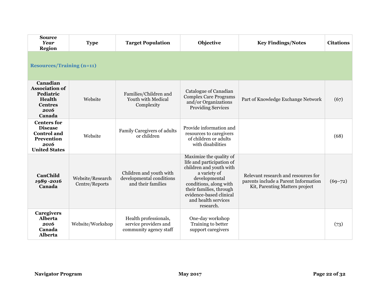<span id="page-24-0"></span>

| <b>Source</b><br>Year<br><b>Region</b>                                                                   | <b>Type</b>                        | <b>Target Population</b>                                                  | Objective                                                                                                                                                                                                                            | <b>Key Findings/Notes</b>                                                                                     | <b>Citations</b> |  |  |  |
|----------------------------------------------------------------------------------------------------------|------------------------------------|---------------------------------------------------------------------------|--------------------------------------------------------------------------------------------------------------------------------------------------------------------------------------------------------------------------------------|---------------------------------------------------------------------------------------------------------------|------------------|--|--|--|
| <b>Resources/Training (n=11)</b>                                                                         |                                    |                                                                           |                                                                                                                                                                                                                                      |                                                                                                               |                  |  |  |  |
| Canadian<br><b>Association of</b><br>Pediatric<br>Health<br><b>Centres</b><br>2016<br>Canada             | Website                            | Families/Children and<br>Youth with Medical<br>Complexity                 | Catalogue of Canadian<br><b>Complex Care Programs</b><br>and/or Organizations<br><b>Providing Services</b>                                                                                                                           | Part of Knowledge Exchange Network                                                                            | (67)             |  |  |  |
| <b>Centers for</b><br><b>Disease</b><br><b>Control</b> and<br>Prevention<br>2016<br><b>United States</b> | Website                            | Family Caregivers of adults<br>or children                                | Provide information and<br>resources to caregivers<br>of children or adults<br>with disabilities                                                                                                                                     |                                                                                                               | (68)             |  |  |  |
| <b>CanChild</b><br>1989-2016<br>Canada                                                                   | Website/Research<br>Centre/Reports | Children and youth with<br>developmental conditions<br>and their families | Maximize the quality of<br>life and participation of<br>children and youth with<br>a variety of<br>developmental<br>conditions, along with<br>their families, through<br>evidence-based clinical<br>and health services<br>research. | Relevant research and resources for<br>parents include a Parent Information<br>Kit, Parenting Matters project | $(69 - 72)$      |  |  |  |
| <b>Caregivers</b><br><b>Alberta</b><br>2016<br>Canada<br><b>Alberta</b>                                  | Website/Workshop                   | Health professionals,<br>service providers and<br>community agency staff  | One-day workshop<br>Training to better<br>support caregivers                                                                                                                                                                         |                                                                                                               | (73)             |  |  |  |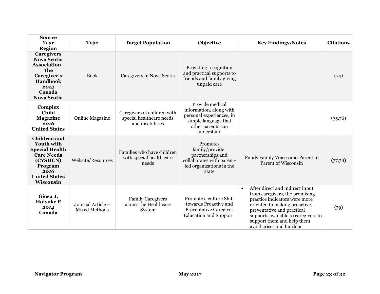| <b>Source</b><br><b>Year</b><br><b>Region</b>                                                                                                              | <b>Type</b>                               | <b>Target Population</b>                                                    | Objective                                                                                                                         | <b>Key Findings/Notes</b>                                                                                                                                                                                                                                                       | <b>Citations</b> |
|------------------------------------------------------------------------------------------------------------------------------------------------------------|-------------------------------------------|-----------------------------------------------------------------------------|-----------------------------------------------------------------------------------------------------------------------------------|---------------------------------------------------------------------------------------------------------------------------------------------------------------------------------------------------------------------------------------------------------------------------------|------------------|
| <b>Caregivers</b><br><b>Nova Scotia</b><br><b>Association -</b><br>The<br>Caregiver's<br><b>Handbook</b><br>2014<br>Canada<br><b>Nova Scotia</b>           | <b>Book</b>                               | Caregivers in Nova Scotia                                                   | Providing recognition<br>and practical supports to<br>friends and family giving<br>unpaid care                                    |                                                                                                                                                                                                                                                                                 | (74)             |
| Complex<br>Child<br><b>Magazine</b><br>2016<br><b>United States</b>                                                                                        | <b>Online Magazine</b>                    | Caregivers of children with<br>special healthcare needs<br>and disabilities | Provide medical<br>information, along with<br>personal experiences, in<br>simple language that<br>other parents can<br>understand |                                                                                                                                                                                                                                                                                 | (75,76)          |
| <b>Children</b> and<br><b>Youth with</b><br><b>Special Health</b><br><b>Care Needs</b><br>(CYSHCN)<br>Program<br>2016<br><b>United States</b><br>Wisconsin | Website/Resources                         | Families who have children<br>with special health care<br>needs             | Promotes<br>family/provider<br>partnerships and<br>collaborates with parent-<br>led organizations in the<br>state                 | Funds Family Voices and Parent to<br>Parent of Wisconsin                                                                                                                                                                                                                        | (77,78)          |
| Giosa J,<br><b>Holyoke P</b><br>2014<br>Canada                                                                                                             | Journal Article -<br><b>Mixed Methods</b> | <b>Family Caregivers</b><br>across the Healthcare<br>System                 | Promote a culture Shift<br>towards Proactive and<br>Preventative Caregiver<br><b>Education and Support</b>                        | After direct and indirect input<br>$\bullet$<br>from caregivers, the promising<br>practice indicators were more<br>oriented to making proactive,<br>preventative and practical<br>supports available to caregivers to<br>support them and help them<br>avoid crises and burdens | (79)             |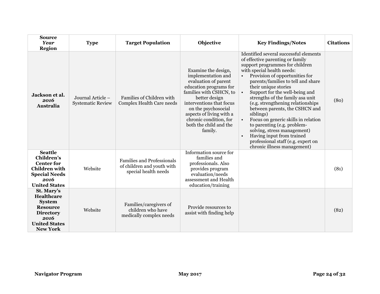| <b>Source</b><br>Year<br><b>Region</b>                                                                                                   | <b>Type</b>                                   | <b>Target Population</b>                                                                | Objective                                                                                                                                                                                                                                                                             | <b>Key Findings/Notes</b>                                                                                                                                                                                                                                                                                                                                                                                                                                                                                                                                                                                                              | <b>Citations</b> |
|------------------------------------------------------------------------------------------------------------------------------------------|-----------------------------------------------|-----------------------------------------------------------------------------------------|---------------------------------------------------------------------------------------------------------------------------------------------------------------------------------------------------------------------------------------------------------------------------------------|----------------------------------------------------------------------------------------------------------------------------------------------------------------------------------------------------------------------------------------------------------------------------------------------------------------------------------------------------------------------------------------------------------------------------------------------------------------------------------------------------------------------------------------------------------------------------------------------------------------------------------------|------------------|
| Jackson et al.<br>2016<br>Australia                                                                                                      | Journal Article –<br><b>Systematic Review</b> | Families of Children with<br>Complex Health Care needs                                  | Examine the design,<br>implementation and<br>evaluation of parent<br>education programs for<br>families with CSHCN, to<br>better design<br>interventions that focus<br>on the psychosocial<br>aspects of living with a<br>chronic condition, for<br>both the child and the<br>family. | Identified several successful elements<br>of effective parenting or family<br>support programmes for children<br>with special health needs:<br>Provision of opportunities for<br>parents/families to tell and share<br>their unique stories<br>Support for the well-being and<br>strengths of the family asa unit<br>(e.g. strengthening relationships<br>between parents, the CSHCN and<br>siblings)<br>Focus on generic skills in relation<br>$\bullet$<br>to parenting (e.g. problem-<br>solving, stress management)<br>Having input from trained<br>$\bullet$<br>professional staff (e.g. expert on<br>chronic illness management) | (80)             |
| <b>Seattle</b><br><b>Children's</b><br><b>Center for</b><br><b>Children</b> with<br><b>Special Needs</b><br>2016<br><b>United States</b> | Website                                       | <b>Families and Professionals</b><br>of children and youth with<br>special health needs | Information source for<br>families and<br>professionals. Also<br>provides program<br>evaluation/needs<br>assessment and Health<br>education/training                                                                                                                                  |                                                                                                                                                                                                                                                                                                                                                                                                                                                                                                                                                                                                                                        | (81)             |
| St. Mary's<br>Healthcare<br><b>System</b><br><b>Resource</b><br><b>Directory</b><br>2016<br><b>United States</b><br><b>New York</b>      | Website                                       | Families/caregivers of<br>children who have<br>medically complex needs                  | Provide resources to<br>assist with finding help                                                                                                                                                                                                                                      |                                                                                                                                                                                                                                                                                                                                                                                                                                                                                                                                                                                                                                        | (82)             |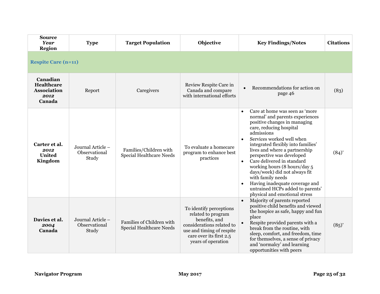<span id="page-27-0"></span>

| <b>Source</b><br>Year<br>Region                                       | <b>Type</b>                                 | <b>Target Population</b>                                  | Objective                                                                                                                                                                 | <b>Key Findings/Notes</b>                                                                                                                                                                                                                                                                                                                                                                                                                                                                                                                     | <b>Citations</b>    |  |  |  |
|-----------------------------------------------------------------------|---------------------------------------------|-----------------------------------------------------------|---------------------------------------------------------------------------------------------------------------------------------------------------------------------------|-----------------------------------------------------------------------------------------------------------------------------------------------------------------------------------------------------------------------------------------------------------------------------------------------------------------------------------------------------------------------------------------------------------------------------------------------------------------------------------------------------------------------------------------------|---------------------|--|--|--|
| <b>Respite Care (n=11)</b>                                            |                                             |                                                           |                                                                                                                                                                           |                                                                                                                                                                                                                                                                                                                                                                                                                                                                                                                                               |                     |  |  |  |
| Canadian<br><b>Healthcare</b><br><b>Association</b><br>2012<br>Canada | Report                                      | Caregivers                                                | Review Respite Care in<br>Canada and compare<br>with international efforts                                                                                                | Recommendations for action on<br>page 46                                                                                                                                                                                                                                                                                                                                                                                                                                                                                                      | (83)                |  |  |  |
| Carter et al.<br>2012<br><b>United</b><br>Kingdom                     | Journal Article -<br>Observational<br>Study | Families/Children with<br><b>Special Healthcare Needs</b> | To evaluate a homecare<br>program to enhance best<br>practices                                                                                                            | Care at home was seen as 'more<br>$\bullet$<br>normal' and parents experiences<br>positive changes in managing<br>care, reducing hospital<br>admissions<br>Services worked well when<br>integrated flexibly into families'<br>lives and where a partnership<br>perspective was developed<br>Care delivered in standard<br>$\bullet$<br>working hours (8 hours/day 5<br>days/week) did not always fit<br>with family needs<br>Having inadequate coverage and<br>$\bullet$<br>untrained HCPs added to parents'<br>physical and emotional stress | $(84)^{*}$          |  |  |  |
| Davies et al.<br>2004<br>Canada                                       | Journal Article -<br>Observational<br>Study | Families of Children with<br>Special Healthcare Needs     | To identify perceptions<br>related to program<br>benefits, and<br>considerations related to<br>use and timing of respite<br>care over its first 2.5<br>years of operation | Majority of parents reported<br>$\bullet$<br>positive child benefits and viewed<br>the hospice as safe, happy and fun<br>place<br>Respite provided parents with a<br>$\bullet$<br>break from the routine, with<br>sleep, comfort, and freedom, time<br>for themselves, a sense of privacy<br>and 'normalcy' and learning<br>opportunities with peers                                                                                                                                                                                          | $(85)$ <sup>*</sup> |  |  |  |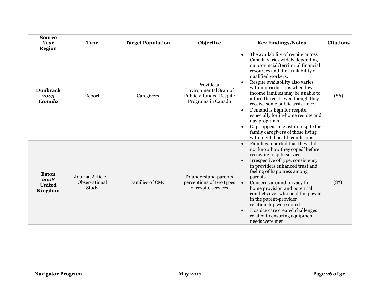| <b>Source</b><br><b>Year</b><br><b>Region</b> | <b>Type</b>                                 | <b>Target Population</b> | Objective                                                                            | <b>Key Findings/Notes</b>                                                                                                                                                                                                                                                                                                                                                                                                                                                                                                                                                                         | <b>Citations</b> |
|-----------------------------------------------|---------------------------------------------|--------------------------|--------------------------------------------------------------------------------------|---------------------------------------------------------------------------------------------------------------------------------------------------------------------------------------------------------------------------------------------------------------------------------------------------------------------------------------------------------------------------------------------------------------------------------------------------------------------------------------------------------------------------------------------------------------------------------------------------|------------------|
| <b>Dunbrack</b><br>2003<br>Canada             | Report                                      | Caregivers               | Provide an<br>Environmental Scan of<br>Publicly-funded Respite<br>Programs in Canada | The availability of respite across<br>$\bullet$<br>Canada varies widely depending<br>on provincial/territorial financial<br>resources and the availability of<br>qualified workers.<br>Respite availability also varies<br>within jurisdictions when low-<br>income families may be unable to<br>afford the cost, even though they<br>receive some public assistance.<br>Demand is high for respite,<br>$\bullet$<br>especially for in-home respite and<br>day programs<br>Gaps appear to exist in respite for<br>$\bullet$<br>family caregivers of those living<br>with mental health conditions | (86)             |
| Eaton<br>2008<br><b>United</b><br>Kingdom     | Journal Article -<br>Observational<br>Study | Families of CMC          | To understand parents'<br>perceptions of two types<br>of respite services            | Families reported that they 'did<br>$\bullet$<br>not know how they coped' before<br>receiving respite services<br>Irrespective of type, consistency<br>in providers enhanced trust and<br>feeling of happiness among<br>parents<br>Concerns around privacy for<br>$\bullet$<br>home provision and potential<br>conflicts over who held the power<br>in the parent-provider<br>relationship were noted<br>Hospice care created challenges<br>$\bullet$<br>related to ensuring equipment<br>needs were met                                                                                          | $(87)$ *         |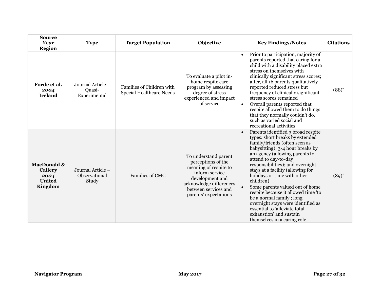| <b>Source</b><br>Year<br><b>Region</b>                                       | <b>Type</b>                                 | <b>Target Population</b>                              | Objective                                                                                                                                                                            | <b>Key Findings/Notes</b>                                                                                                                                                                                                                                                                                                                                                                                                                                                                                                                                         | <b>Citations</b>    |
|------------------------------------------------------------------------------|---------------------------------------------|-------------------------------------------------------|--------------------------------------------------------------------------------------------------------------------------------------------------------------------------------------|-------------------------------------------------------------------------------------------------------------------------------------------------------------------------------------------------------------------------------------------------------------------------------------------------------------------------------------------------------------------------------------------------------------------------------------------------------------------------------------------------------------------------------------------------------------------|---------------------|
| Forde et al.<br>2004<br><b>Ireland</b>                                       | Journal Article -<br>Quasi-<br>Experimental | Families of Children with<br>Special Healthcare Needs | To evaluate a pilot in-<br>home respite care<br>program by assessing<br>degree of stress<br>experienced and impact<br>of service                                                     | Prior to participation, majority of<br>$\bullet$<br>parents reported that caring for a<br>child with a disability placed extra<br>stress on themselves with<br>clinically significant stress scores;<br>after, all 16 parents qualitatively<br>reported reduced stress but<br>frequency of clinically significant<br>stress scores remained<br>Overall parents reported that<br>$\bullet$<br>respite allowed them to do things<br>that they normally couldn't do,<br>such as varied social and<br>recreational activities                                         | $(88)$ <sup>*</sup> |
| <b>MacDonald &amp;</b><br><b>Callery</b><br>2004<br><b>United</b><br>Kingdom | Journal Article -<br>Observational<br>Study | <b>Families of CMC</b>                                | To understand parent<br>perceptions of the<br>meaning of respite to<br>inform service<br>development and<br>acknowledge differences<br>between services and<br>parents' expectations | Parents identified 3 broad respite<br>types: short breaks by extended<br>family/friends (often seen as<br>babysitting); 3-4 hour breaks by<br>an agency (allowing parents to<br>attend to day-to-day<br>responsibilities); and overnight<br>stays at a facility (allowing for<br>holidays or time with other<br>children)<br>Some parents valued out of home<br>respite because it allowed time 'to<br>be a normal family'; long<br>overnight stays were identified as<br>essential to 'alleviate total<br>exhaustion' and sustain<br>themselves in a caring role | $(89)^{*}$          |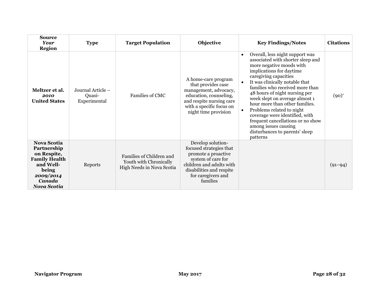| <b>Source</b><br><b>Year</b><br><b>Region</b>                                                                                               | <b>Type</b>                                 | <b>Target Population</b>                                                        | Objective                                                                                                                                                                           | <b>Key Findings/Notes</b>                                                                                                                                                                                                                                                                                                                                                                                                                                                                                                           | <b>Citations</b> |
|---------------------------------------------------------------------------------------------------------------------------------------------|---------------------------------------------|---------------------------------------------------------------------------------|-------------------------------------------------------------------------------------------------------------------------------------------------------------------------------------|-------------------------------------------------------------------------------------------------------------------------------------------------------------------------------------------------------------------------------------------------------------------------------------------------------------------------------------------------------------------------------------------------------------------------------------------------------------------------------------------------------------------------------------|------------------|
| Meltzer et al.<br>2010<br><b>United States</b>                                                                                              | Journal Article –<br>Quasi-<br>Experimental | Families of CMC                                                                 | A home-care program<br>that provides case<br>management, advocacy,<br>education, counseling,<br>and respite nursing care<br>with a specific focus on<br>night time provision        | Overall, less night support was<br>$\bullet$<br>associated with shorter sleep and<br>more negative moods with<br>implications for daytime<br>caregiving capacities<br>It was clinically notable that<br>families who received more than<br>48 hours of night nursing per<br>week slept on average almost 1<br>hour more than other families.<br>Problems related to night<br>$\bullet$<br>coverage were identified, with<br>frequent cancellations or no show<br>among issues causing<br>disturbances to parents' sleep<br>patterns | $(90)^{*}$       |
| <b>Nova Scotia</b><br>Partnership<br>on Respite,<br><b>Family Health</b><br>and Well-<br>being<br>2009/2014<br>Canada<br><b>Nova Scotia</b> | Reports                                     | Families of Children and<br>Youth with Chronically<br>High Needs in Nova Scotia | Develop solution-<br>focused strategies that<br>promote a proactive<br>system of care for<br>children and adults with<br>disabilities and respite<br>for caregivers and<br>families |                                                                                                                                                                                                                                                                                                                                                                                                                                                                                                                                     | $(91 - 94)$      |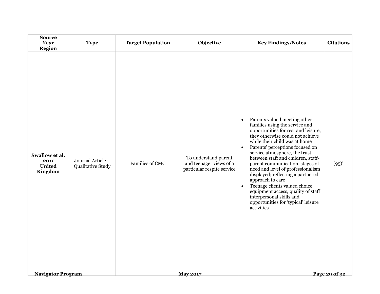| <b>Source</b><br>Year<br><b>Region</b>                                         | <b>Type</b>                            | <b>Target Population</b> | Objective                                                                                        | <b>Key Findings/Notes</b>                                                                                                                                                                                                                                                                                                                                                                                                                                                                                                                                                                                            | <b>Citations</b>          |
|--------------------------------------------------------------------------------|----------------------------------------|--------------------------|--------------------------------------------------------------------------------------------------|----------------------------------------------------------------------------------------------------------------------------------------------------------------------------------------------------------------------------------------------------------------------------------------------------------------------------------------------------------------------------------------------------------------------------------------------------------------------------------------------------------------------------------------------------------------------------------------------------------------------|---------------------------|
| Swallow et al.<br>2011<br><b>United</b><br>Kingdom<br><b>Navigator Program</b> | Journal Article -<br>Qualitative Study | Families of CMC          | To understand parent<br>and teenager views of a<br>particular respite service<br><b>May 2017</b> | Parents valued meeting other<br>$\bullet$<br>families using the service and<br>opportunities for rest and leisure,<br>they otherwise could not achieve<br>while their child was at home<br>Parents' perceptions focused on<br>$\bullet$<br>service atmosphere, the trust<br>between staff and children, staff-<br>parent communication, stages of<br>need and level of professionalism<br>displayed; reflecting a partnered<br>approach to care<br>Teenage clients valued choice<br>$\bullet$<br>equipment access, quality of staff<br>interpersonal skills and<br>opportunities for 'typical' leisure<br>activities | $(95)$ *<br>Page 29 of 32 |
|                                                                                |                                        |                          |                                                                                                  |                                                                                                                                                                                                                                                                                                                                                                                                                                                                                                                                                                                                                      |                           |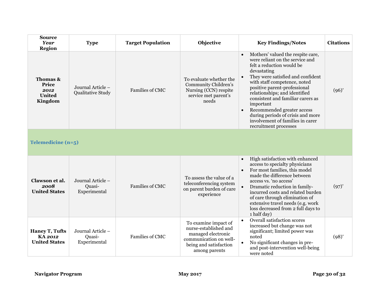<span id="page-32-0"></span>

| <b>Source</b><br><b>Year</b><br><b>Region</b>            | <b>Type</b>                                   | <b>Target Population</b> | Objective                                                                                                                                | <b>Key Findings/Notes</b>                                                                                                                                                                                                                                                                                                                                                                                                                                          | <b>Citations</b> |
|----------------------------------------------------------|-----------------------------------------------|--------------------------|------------------------------------------------------------------------------------------------------------------------------------------|--------------------------------------------------------------------------------------------------------------------------------------------------------------------------------------------------------------------------------------------------------------------------------------------------------------------------------------------------------------------------------------------------------------------------------------------------------------------|------------------|
| Thomas &<br>Price<br>2012<br><b>United</b><br>Kingdom    | Journal Article –<br><b>Qualitative Study</b> | <b>Families of CMC</b>   | To evaluate whether the<br>Community Children's<br>Nursing (CCN) respite<br>service met parent's<br>needs                                | Mothers' valued the respite care,<br>$\bullet$<br>were reliant on the service and<br>felt a reduction would be<br>devastating<br>They were satisfied and confident<br>with staff competence, noted<br>positive parent-professional<br>relationships; and identified<br>consistent and familiar carers as<br>important<br>Recommended greater access<br>$\bullet$<br>during periods of crisis and more<br>involvement of families in carer<br>recruitment processes | $(96)^{*}$       |
| Telemedicine (n=5)                                       |                                               |                          |                                                                                                                                          |                                                                                                                                                                                                                                                                                                                                                                                                                                                                    |                  |
| Clawson et al.<br>2008<br><b>United States</b>           | Journal Article -<br>Quasi-<br>Experimental   | <b>Families of CMC</b>   | To assess the value of a<br>teleconferencing system<br>on parent burden of care<br>experience                                            | High satisfaction with enhanced<br>$\bullet$<br>access to specialty physicians<br>For most families, this model<br>$\bullet$<br>made the difference between<br>access vs. 'no access'<br>Dramatic reduction in family-<br>incurred costs and related burden<br>of care through elimination of<br>extensive travel needs (e.g. work<br>loss decreased from 2 full days to<br>1 half day)                                                                            | $(97)^{*}$       |
| <b>Haney T, Tufts</b><br>KA 2012<br><b>United States</b> | Journal Article –<br>Quasi-<br>Experimental   | <b>Families of CMC</b>   | To examine impact of<br>nurse-established and<br>managed electronic<br>communication on well-<br>being and satisfaction<br>among parents | Overall satisfaction scores<br>$\bullet$<br>increased but change was not<br>significant; limited power was<br>noted<br>No significant changes in pre-<br>$\bullet$<br>and post-intervention well-being<br>were noted                                                                                                                                                                                                                                               | $(98)^{*}$       |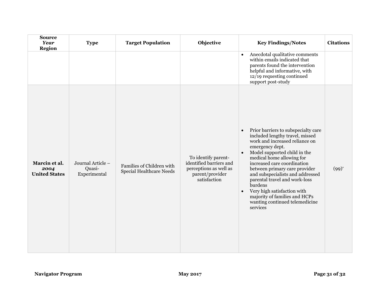| <b>Source</b><br><b>Year</b><br><b>Region</b> | <b>Type</b>                                 | <b>Target Population</b>                                     | Objective                                                                                                   | <b>Key Findings/Notes</b>                                                                                                                                                                                                                                                                                                                                                                                                                                                                            | <b>Citations</b> |
|-----------------------------------------------|---------------------------------------------|--------------------------------------------------------------|-------------------------------------------------------------------------------------------------------------|------------------------------------------------------------------------------------------------------------------------------------------------------------------------------------------------------------------------------------------------------------------------------------------------------------------------------------------------------------------------------------------------------------------------------------------------------------------------------------------------------|------------------|
|                                               |                                             |                                                              |                                                                                                             | Anecdotal qualitative comments<br>$\bullet$<br>within emails indicated that<br>parents found the intervention<br>helpful and informative, with<br>12/19 requesting continued<br>support post-study                                                                                                                                                                                                                                                                                                   |                  |
| Marcin et al.<br>2004<br><b>United States</b> | Journal Article -<br>Quasi-<br>Experimental | Families of Children with<br><b>Special Healthcare Needs</b> | To identify parent-<br>identified barriers and<br>perceptions as well as<br>parent/provider<br>satisfaction | Prior barriers to subspecialty care<br>$\bullet$<br>included lengthy travel, missed<br>work and increased reliance on<br>emergency dept.<br>Model supported child in the<br>$\bullet$<br>medical home allowing for<br>increased care coordination<br>between primary care provider<br>and subspecialists and addressed<br>parental travel and work-loss<br><b>burdens</b><br>Very high satisfaction with<br>$\bullet$<br>majority of families and HCPs<br>wanting continued telemedicine<br>services | $(99)^{*}$       |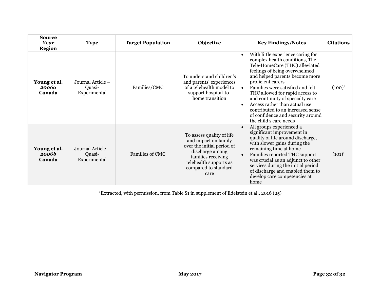| <b>Source</b><br><b>Year</b><br><b>Region</b> | <b>Type</b>                                 | <b>Target Population</b> | Objective                                                                                                                                                                          | <b>Key Findings/Notes</b>                                                                                                                                                                                                                                                                                                                                                                                                                                                            | <b>Citations</b> |
|-----------------------------------------------|---------------------------------------------|--------------------------|------------------------------------------------------------------------------------------------------------------------------------------------------------------------------------|--------------------------------------------------------------------------------------------------------------------------------------------------------------------------------------------------------------------------------------------------------------------------------------------------------------------------------------------------------------------------------------------------------------------------------------------------------------------------------------|------------------|
| Young et al.<br>2006а<br>Canada               | Journal Article -<br>Ouasi-<br>Experimental | Families/CMC             | To understand children's<br>and parents' experiences<br>of a telehealth model to<br>support hospital-to-<br>home transition                                                        | With little experience caring for<br>$\bullet$<br>complex health conditions, The<br>Tele-HomeCare (THC) alleviated<br>feelings of being overwhelmed<br>and helped parents become more<br>proficient carers<br>Families were satisfied and felt<br>$\bullet$<br>THC allowed for rapid access to<br>and continuity of specialty care<br>Access rather than actual use<br>$\bullet$<br>contributed to an increased sense<br>of confidence and security around<br>the child's care needs | $(100)^{*}$      |
| Young et al.<br><b>2006b</b><br>Canada        | Journal Article -<br>Quasi-<br>Experimental | <b>Families of CMC</b>   | To assess quality of life<br>and impact on family<br>over the initial period of<br>discharge among<br>families receiving<br>telehealth supports as<br>compared to standard<br>care | All groups experienced a<br>$\bullet$<br>significant improvement in<br>quality of life around discharge,<br>with slower gains during the<br>remaining time at home<br>Families reported THC support<br>$\bullet$<br>was crucial as an adjunct to other<br>services during the initial period<br>of discharge and enabled them to<br>develop care competencies at<br>home                                                                                                             | $(101)^{*}$      |

\*Extracted, with permission, from Table S1 in supplement of Edelstein et al., 2016 (25)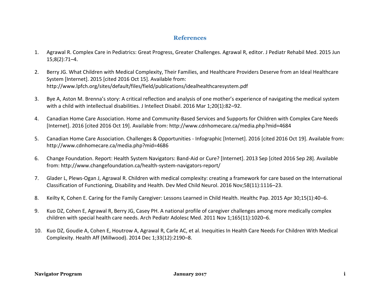## **References**

- <span id="page-35-0"></span>1. Agrawal R. Complex Care in Pediatrics: Great Progress, Greater Challenges. Agrawal R, editor. J Pediatr Rehabil Med. 2015 Jun 15;8(2):71–4.
- 2. Berry JG. What Children with Medical Complexity, Their Families, and Healthcare Providers Deserve from an Ideal Healthcare System [Internet]. 2015 [cited 2016 Oct 15]. Available from: http://www.lpfch.org/sites/default/files/field/publications/idealhealthcaresystem.pdf
- 3. Bye A, Aston M. Brenna's story: A critical reflection and analysis of one mother's experience of navigating the medical system with a child with intellectual disabilities. J Intellect Disabil. 2016 Mar 1;20(1):82–92.
- 4. Canadian Home Care Association. Home and Community-Based Services and Supports for Children with Complex Care Needs [Internet]. 2016 [cited 2016 Oct 19]. Available from: http://www.cdnhomecare.ca/media.php?mid=4684
- 5. Canadian Home Care Association. Challenges & Opportunities Infographic [Internet]. 2016 [cited 2016 Oct 19]. Available from: http://www.cdnhomecare.ca/media.php?mid=4686
- 6. Change Foundation. Report: Health System Navigators: Band-Aid or Cure? [Internet]. 2013 Sep [cited 2016 Sep 28]. Available from: http://www.changefoundation.ca/health-system-navigators-report/
- 7. Glader L, Plews-Ogan J, Agrawal R. Children with medical complexity: creating a framework for care based on the International Classification of Functioning, Disability and Health. Dev Med Child Neurol. 2016 Nov;58(11):1116–23.
- 8. Keilty K, Cohen E. Caring for the Family Caregiver: Lessons Learned in Child Health. Healthc Pap. 2015 Apr 30;15(1):40–6.
- 9. Kuo DZ, Cohen E, Agrawal R, Berry JG, Casey PH. A national profile of caregiver challenges among more medically complex children with special health care needs. Arch Pediatr Adolesc Med. 2011 Nov 1;165(11):1020–6.
- 10. Kuo DZ, Goudie A, Cohen E, Houtrow A, Agrawal R, Carle AC, et al. Inequities In Health Care Needs For Children With Medical Complexity. Health Aff (Millwood). 2014 Dec 1;33(12):2190–8.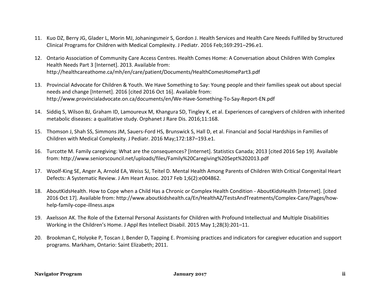- 11. Kuo DZ, Berry JG, Glader L, Morin MJ, Johaningsmeir S, Gordon J. Health Services and Health Care Needs Fulfilled by Structured Clinical Programs for Children with Medical Complexity. J Pediatr. 2016 Feb;169:291–296.e1.
- 12. Ontario Association of Community Care Access Centres. Health Comes Home: A Conversation about Children With Complex Health Needs Part 3 [Internet]. 2013. Available from: http://healthcareathome.ca/mh/en/care/patient/Documents/HealthComesHomePart3.pdf
- 13. Provincial Advocate for Children & Youth. We Have Something to Say: Young people and their families speak out about special needs and change [Internet]. 2016 [cited 2016 Oct 16]. Available from: http://www.provincialadvocate.on.ca/documents/en/We-Have-Something-To-Say-Report-EN.pdf
- 14. Siddiq S, Wilson BJ, Graham ID, Lamoureux M, Khangura SD, Tingley K, et al. Experiences of caregivers of children with inherited metabolic diseases: a qualitative study. Orphanet J Rare Dis. 2016;11:168.
- 15. Thomson J, Shah SS, Simmons JM, Sauers-Ford HS, Brunswick S, Hall D, et al. Financial and Social Hardships in Families of Children with Medical Complexity. J Pediatr. 2016 May;172:187–193.e1.
- 16. Turcotte M. Family caregiving: What are the consequences? [Internet]. Statistics Canada; 2013 [cited 2016 Sep 19]. Available from: http://www.seniorscouncil.net/uploads/files/Family%20Caregiving%20Sept%202013.pdf
- 17. Woolf‐King SE, Anger A, Arnold EA, Weiss SJ, Teitel D. Mental Health Among Parents of Children With Critical Congenital Heart Defects: A Systematic Review. J Am Heart Assoc. 2017 Feb 1;6(2):e004862.
- 18. AboutKidsHealth. How to Cope when a Child Has a Chronic or Complex Health Condition AboutKidsHealth [Internet]. [cited 2016 Oct 17]. Available from: http://www.aboutkidshealth.ca/En/HealthAZ/TestsAndTreatments/Complex-Care/Pages/howhelp-family-cope-illness.aspx
- 19. Axelsson AK. The Role of the External Personal Assistants for Children with Profound Intellectual and Multiple Disabilities Working in the Children's Home. J Appl Res Intellect Disabil. 2015 May 1;28(3):201–11.
- 20. Brookman C, Holyoke P, Toscan J, Bender D, Tapping E. Promising practices and indicators for caregiver education and support programs. Markham, Ontario: Saint Elizabeth; 2011.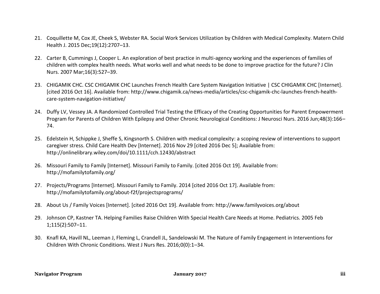- 21. Coquillette M, Cox JE, Cheek S, Webster RA. Social Work Services Utilization by Children with Medical Complexity. Matern Child Health J. 2015 Dec;19(12):2707–13.
- 22. Carter B, Cummings J, Cooper L. An exploration of best practice in multi-agency working and the experiences of families of children with complex health needs. What works well and what needs to be done to improve practice for the future? J Clin Nurs. 2007 Mar;16(3):527–39.
- 23. CHIGAMIK CHC. CSC CHIGAMIK CHC Launches French Health Care System Navigation Initiative | CSC CHIGAMIK CHC [Internet]. [cited 2016 Oct 16]. Available from: http://www.chigamik.ca/news-media/articles/csc-chigamik-chc-launches-french-healthcare-system-navigation-initiative/
- 24. Duffy LV, Vessey JA. A Randomized Controlled Trial Testing the Efficacy of the Creating Opportunities for Parent Empowerment Program for Parents of Children With Epilepsy and Other Chronic Neurological Conditions: J Neurosci Nurs. 2016 Jun;48(3):166– 74.
- 25. Edelstein H, Schippke J, Sheffe S, Kingsnorth S. Children with medical complexity: a scoping review of interventions to support caregiver stress. Child Care Health Dev [Internet]. 2016 Nov 29 [cited 2016 Dec 5]; Available from: http://onlinelibrary.wiley.com/doi/10.1111/cch.12430/abstract
- 26. Missouri Family to Family [Internet]. Missouri Family to Family. [cited 2016 Oct 19]. Available from: http://mofamilytofamily.org/
- 27. Projects/Programs [Internet]. Missouri Family to Family. 2014 [cited 2016 Oct 17]. Available from: http://mofamilytofamily.org/about-f2f/projectsprograms/
- 28. About Us / Family Voices [Internet]. [cited 2016 Oct 19]. Available from: http://www.familyvoices.org/about
- 29. Johnson CP, Kastner TA. Helping Families Raise Children With Special Health Care Needs at Home. Pediatrics. 2005 Feb 1;115(2):507–11.
- 30. Knafl KA, Havill NL, Leeman J, Fleming L, Crandell JL, Sandelowski M. The Nature of Family Engagement in Interventions for Children With Chronic Conditions. West J Nurs Res. 2016;0(0):1–34.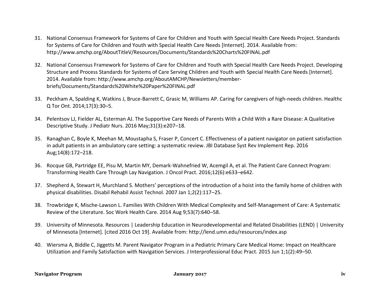- 31. National Consensus Framework for Systems of Care for Children and Youth with Special Health Care Needs Project. Standards for Systems of Care for Children and Youth with Special Health Care Needs [Internet]. 2014. Available from: http://www.amchp.org/AboutTitleV/Resources/Documents/Standards%20Charts%20FINAL.pdf
- 32. National Consensus Framework for Systems of Care for Children and Youth with Special Health Care Needs Project. Developing Structure and Process Standards for Systems of Care Serving Children and Youth with Special Health Care Needs [Internet]. 2014. Available from: http://www.amchp.org/AboutAMCHP/Newsletters/memberbriefs/Documents/Standards%20White%20Paper%20FINAL.pdf
- 33. Peckham A, Spalding K, Watkins J, Bruce-Barrett C, Grasic M, Williams AP. Caring for caregivers of high-needs children. Healthc Q Tor Ont. 2014;17(3):30–5.
- 34. Pelentsov LJ, Fielder AL, Esterman AJ. The Supportive Care Needs of Parents With a Child With a Rare Disease: A Qualitative Descriptive Study. J Pediatr Nurs. 2016 May;31(3):e207–18.
- 35. Ranaghan C, Boyle K, Meehan M, Moustapha S, Fraser P, Concert C. Effectiveness of a patient navigator on patient satisfaction in adult patients in an ambulatory care setting: a systematic review. JBI Database Syst Rev Implement Rep. 2016 Aug;14(8):172–218.
- 36. Rocque GB, Partridge EE, Pisu M, Martin MY, Demark-Wahnefried W, Acemgil A, et al. The Patient Care Connect Program: Transforming Health Care Through Lay Navigation. J Oncol Pract. 2016;12(6):e633–e642.
- 37. Shepherd A, Stewart H, Murchland S. Mothers' perceptions of the introduction of a hoist into the family home of children with physical disabilities. Disabil Rehabil Assist Technol. 2007 Jan 1;2(2):117–25.
- 38. Trowbridge K, Mische-Lawson L. Families With Children With Medical Complexity and Self-Management of Care: A Systematic Review of the Literature. Soc Work Health Care. 2014 Aug 9;53(7):640–58.
- 39. University of Minnesota. Resources | Leadership Education in Neurodevelopmental and Related Disabilities (LEND) | University of Minnesota [Internet]. [cited 2016 Oct 19]. Available from: http://lend.umn.edu/resources/index.asp
- 40. Wiersma A, Biddle C, Jiggetts M. Parent Navigator Program in a Pediatric Primary Care Medical Home: Impact on Healthcare Utilization and Family Satisfaction with Navigation Services. J Interprofessional Educ Pract. 2015 Jun 1;1(2):49–50.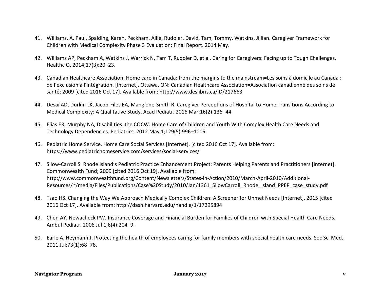- 41. Williams, A. Paul, Spalding, Karen, Peckham, Allie, Rudoler, David, Tam, Tommy, Watkins, Jillian. Caregiver Framework for Children with Medical Complexity Phase 3 Evaluation: Final Report. 2014 May.
- 42. Williams AP, Peckham A, Watkins J, Warrick N, Tam T, Rudoler D, et al. Caring for Caregivers: Facing up to Tough Challenges. Healthc Q. 2014;17(3):20–23.
- 43. Canadian Healthcare Association. Home care in Canada: from the margins to the mainstream=Les soins à domicile au Canada : de l'exclusion à l'intégration. [Internet]. Ottawa, ON: Canadian Healthcare Association=Association canadienne des soins de santé; 2009 [cited 2016 Oct 17]. Available from: http://www.deslibris.ca/ID/217663
- 44. Desai AD, Durkin LK, Jacob-Files EA, Mangione-Smith R. Caregiver Perceptions of Hospital to Home Transitions According to Medical Complexity: A Qualitative Study. Acad Pediatr. 2016 Mar;16(2):136–44.
- 45. Elias ER, Murphy NA, Disabilities the COCW. Home Care of Children and Youth With Complex Health Care Needs and Technology Dependencies. Pediatrics. 2012 May 1;129(5):996–1005.
- 46. Pediatric Home Service. Home Care Social Services [Internet]. [cited 2016 Oct 17]. Available from: https://www.pediatrichomeservice.com/services/social-services/
- 47. Silow-Carroll S. Rhode Island's Pediatric Practice Enhancement Project: Parents Helping Parents and Practitioners [Internet]. Commonwealth Fund; 2009 [cited 2016 Oct 19]. Available from: http://www.commonwealthfund.org/Content/Newsletters/States-in-Action/2010/March-April-2010/Additional-Resources/~/media/Files/Publications/Case%20Study/2010/Jan/1361\_SilowCarroll\_Rhode\_Island\_PPEP\_case\_study.pdf
- 48. Tsao HS. Changing the Way We Approach Medically Complex Children: A Screener for Unmet Needs [Internet]. 2015 [cited 2016 Oct 17]. Available from: http://dash.harvard.edu/handle/1/17295894
- 49. Chen AY, Newacheck PW. Insurance Coverage and Financial Burden for Families of Children with Special Health Care Needs. Ambul Pediatr. 2006 Jul 1;6(4):204–9.
- 50. Earle A, Heymann J. Protecting the health of employees caring for family members with special health care needs. Soc Sci Med. 2011 Jul;73(1):68–78.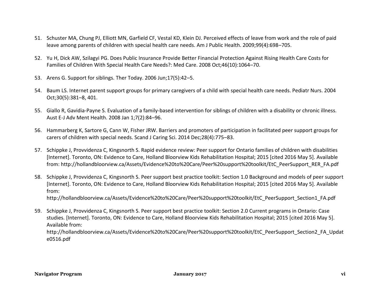- 51. Schuster MA, Chung PJ, Elliott MN, Garfield CF, Vestal KD, Klein DJ. Perceived effects of leave from work and the role of paid leave among parents of children with special health care needs. Am J Public Health. 2009;99(4):698–705.
- 52. Yu H, Dick AW, Szilagyi PG. Does Public Insurance Provide Better Financial Protection Against Rising Health Care Costs for Families of Children With Special Health Care Needs?: Med Care. 2008 Oct;46(10):1064–70.
- 53. Arens G. Support for siblings. Ther Today. 2006 Jun;17(5):42–5.
- 54. Baum LS. Internet parent support groups for primary caregivers of a child with special health care needs. Pediatr Nurs. 2004 Oct;30(5):381–8, 401.
- 55. Giallo R, Gavidia-Payne S. Evaluation of a family-based intervention for siblings of children with a disability or chronic illness. Aust E-J Adv Ment Health. 2008 Jan 1;7(2):84–96.
- 56. Hammarberg K, Sartore G, Cann W, Fisher JRW. Barriers and promoters of participation in facilitated peer support groups for carers of children with special needs. Scand J Caring Sci. 2014 Dec;28(4):775–83.
- 57. Schippke J, Provvidenza C, Kingsnorth S. Rapid evidence review: Peer support for Ontario families of children with disabilities [Internet]. Toronto, ON: Evidence to Care, Holland Bloorview Kids Rehabilitation Hospital; 2015 [cited 2016 May 5]. Available from: http://hollandbloorview.ca/Assets/Evidence%20to%20Care/Peer%20support%20toolkit/EtC\_PeerSupport\_RER\_FA.pdf
- 58. Schippke J, Provvidenza C, Kingsnorth S. Peer support best practice toolkit: Section 1.0 Background and models of peer support [Internet]. Toronto, ON: Evidence to Care, Holland Bloorview Kids Rehabilitation Hospital; 2015 [cited 2016 May 5]. Available from:

http://hollandbloorview.ca/Assets/Evidence%20to%20Care/Peer%20support%20toolkit/EtC\_PeerSupport\_Section1\_FA.pdf

59. Schippke J, Provvidenza C, Kingsnorth S. Peer support best practice toolkit: Section 2.0 Current programs in Ontario: Case studies. [Internet]. Toronto, ON: Evidence to Care, Holland Bloorview Kids Rehabilitation Hospital; 2015 [cited 2016 May 5]. Available from: http://hollandbloorview.ca/Assets/Evidence%20to%20Care/Peer%20support%20toolkit/EtC\_PeerSupport\_Section2\_FA\_Updat e0516.pdf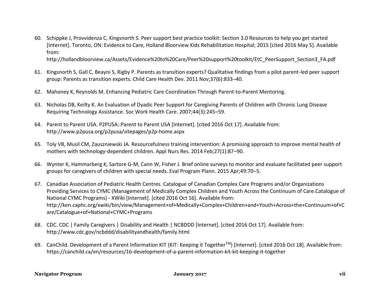60. Schippke J, Provvidenza C, Kingsnorth S. Peer support best practice toolkit: Section 3.0 Resources to help you get started [Internet]. Toronto, ON: Evidence to Care, Holland Bloorview Kids Rehabilitation Hospital; 2015 [cited 2016 May 5]. Available from:

http://hollandbloorview.ca/Assets/Evidence%20to%20Care/Peer%20support%20toolkit/EtC\_PeerSupport\_Section3\_FA.pdf

- 61. Kingsnorth S, Gall C, Beayni S, Rigby P. Parents as transition experts? Qualitative findings from a pilot parent-led peer support group: Parents as transition experts. Child Care Health Dev. 2011 Nov;37(6):833–40.
- 62. Mahoney K, Reynolds M. Enhancing Pediatric Care Coordination Through Parent-to-Parent Mentoring.
- 63. Nicholas DB, Keilty K. An Evaluation of Dyadic Peer Support for Caregiving Parents of Children with Chronic Lung Disease Requiring Technology Assistance. Soc Work Health Care. 2007;44(3):245–59.
- 64. Parent to Parent USA. P2PUSA::Parent to Parent USA [Internet]. [cited 2016 Oct 17]. Available from: http://www.p2pusa.org/p2pusa/sitepages/p2p-home.aspx
- 65. Toly VB, Musil CM, Zauszniewski JA. Resourcefulness training intervention: A promising approach to improve mental health of mothers with technology-dependent children. Appl Nurs Res. 2014 Feb;27(1):87–90.
- 66. Wynter K, Hammarberg K, Sartore G-M, Cann W, Fisher J. Brief online surveys to monitor and evaluate facilitated peer support groups for caregivers of children with special needs. Eval Program Plann. 2015 Apr;49:70–5.
- 67. Canadian Association of Pediatric Health Centres. Catalogue of Canadian Complex Care Programs and/or Organizations Providing Services to CYMC (Management of Medically Complex Children and Youth Across the Continuum of Care.Catalogue of National CYMC Programs) - XWiki [Internet]. [cited 2016 Oct 16]. Available from: http://ken.caphc.org/xwiki/bin/view/Management+of+Medically+Complex+Children+and+Youth+Across+the+Continuum+of+C are/Catalogue+of+National+CYMC+Programs
- 68. CDC. CDC | Family Caregivers | Disability and Health | NCBDDD [Internet]. [cited 2016 Oct 17]. Available from: http://www.cdc.gov/ncbddd/disabilityandhealth/family.html
- 69. CanChild. Development of a Parent Information KIT (KIT: Keeping it TogetherTM) [Internet]. [cited 2016 Oct 18]. Available from: https://canchild.ca/en/resources/16-development-of-a-parent-information-kit-kit-keeping-it-together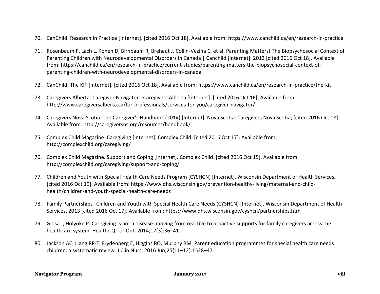- 70. CanChild. Research In Practice [Internet]. [cited 2016 Oct 18]. Available from: https://www.canchild.ca/en/research-in-practice
- 71. Rosenbaum P, Lach L, Kohen D, Birnbaum R, Brehaut J, Collin-Vezina C, et al. Parenting Matters! The Biopsychosocial Context of Parenting Children with Neurodevelopmental Disorders in Canada | Canchild [Internet]. 2013 [cited 2016 Oct 18]. Available from: https://canchild.ca/en/research-in-practice/current-studies/parenting-matters-the-biopsychosocial-context-ofparenting-children-with-neurodevelopmental-disorders-in-canada
- 72. CanChild. The KIT [Internet]. [cited 2016 Oct 18]. Available from: https://www.canchild.ca/en/research-in-practice/the-kit
- 73. Caregivers Alberta. Caregiver Navigator Caregivers Alberta [Internet]. [cited 2016 Oct 16]. Available from: http://www.caregiversalberta.ca/for-professionals/services-for-you/caregiver-navigator/
- 74. Caregivers Nova Scotia. The Caregiver's Handbook (2014) [Internet]. Nova Scotia: Caregivers Nova Scotia; [cited 2016 Oct 18]. Available from: http://caregiversns.org/resources/handbook/
- 75. Complex Child Magazine. Caregiving [Internet]. Complex Child. [cited 2016 Oct 17]. Available from: http://complexchild.org/caregiving/
- 76. Complex Child Magazine. Support and Coping [Internet]. Complex Child. [cited 2016 Oct 15]. Available from: http://complexchild.org/caregiving/support-and-coping/
- 77. Children and Youth with Special Health Care Needs Program (CYSHCN) [Internet]. Wisconsin Department of Health Services. [cited 2016 Oct 19]. Available from: https://www.dhs.wisconsin.gov/prevention-healthy-living/maternal-and-childhealth/children-and-youth-special-health-care-needs
- 78. Family Partnerships--Children and Youth with Special Health Care Needs (CYSHCN) [Internet]. Wisconsin Department of Health Services. 2013 [cited 2016 Oct 17]. Available from: https://www.dhs.wisconsin.gov/cyshcn/partnerships.htm
- 79. Giosa J, Holyoke P. Caregiving is not a disease: moving from reactive to proactive supports for family caregivers across the healthcare system. Healthc Q Tor Ont. 2014;17(3):36–41.
- 80. Jackson AC, Liang RP-T, Frydenberg E, Higgins RO, Murphy BM. Parent education programmes for special health care needs children: a systematic review. J Clin Nurs. 2016 Jun;25(11–12):1528–47.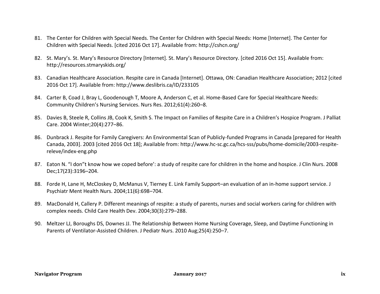- 81. The Center for Children with Special Needs. The Center for Children with Special Needs: Home [Internet]. The Center for Children with Special Needs. [cited 2016 Oct 17]. Available from: http://cshcn.org/
- 82. St. Mary's. St. Mary's Resource Directory [Internet]. St. Mary's Resource Directory. [cited 2016 Oct 15]. Available from: http://resources.stmaryskids.org/
- 83. Canadian Healthcare Association. Respite care in Canada [Internet]. Ottawa, ON: Canadian Healthcare Association; 2012 [cited 2016 Oct 17]. Available from: http://www.deslibris.ca/ID/233105
- 84. Carter B, Coad J, Bray L, Goodenough T, Moore A, Anderson C, et al. Home-Based Care for Special Healthcare Needs: Community Children's Nursing Services. Nurs Res. 2012;61(4):260–8.
- 85. Davies B, Steele R, Collins JB, Cook K, Smith S. The Impact on Families of Respite Care in a Children's Hospice Program. J Palliat Care. 2004 Winter;20(4):277–86.
- 86. Dunbrack J. Respite for Family Caregivers: An Environmental Scan of Publicly-funded Programs in Canada [prepared for Health Canada, 2003]. 2003 [cited 2016 Oct 18]; Available from: http://www.hc-sc.gc.ca/hcs-sss/pubs/home-domicile/2003-respitereleve/index-eng.php
- 87. Eaton N. "I don"t know how we coped before': a study of respite care for children in the home and hospice. J Clin Nurs. 2008 Dec;17(23):3196–204.
- 88. Forde H, Lane H, McCloskey D, McManus V, Tierney E. Link Family Support–an evaluation of an in-home support service. J Psychiatr Ment Health Nurs. 2004;11(6):698–704.
- 89. MacDonald H, Callery P. Different meanings of respite: a study of parents, nurses and social workers caring for children with complex needs. Child Care Health Dev. 2004;30(3):279–288.
- 90. Meltzer LJ, Boroughs DS, Downes JJ. The Relationship Between Home Nursing Coverage, Sleep, and Daytime Functioning in Parents of Ventilator-Assisted Children. J Pediatr Nurs. 2010 Aug;25(4):250–7.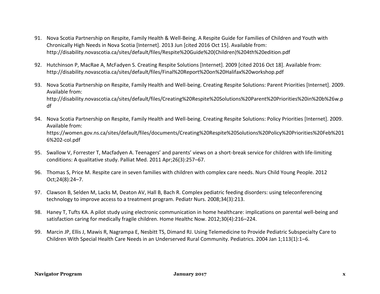- 91. Nova Scotia Partnership on Respite, Family Health & Well-Being. A Respite Guide for Families of Children and Youth with Chronically High Needs in Nova Scotia [Internet]. 2013 Jun [cited 2016 Oct 15]. Available from: http://disability.novascotia.ca/sites/default/files/Respite%20Guide%20(Children)%204th%20edition.pdf
- 92. Hutchinson P, MacRae A, McFadyen S. Creating Respite Solutions [Internet]. 2009 [cited 2016 Oct 18]. Available from: http://disability.novascotia.ca/sites/default/files/Final%20Report%20on%20Halifax%20workshop.pdf
- 93. Nova Scotia Partnership on Respite, Family Health and Well-being. Creating Respite Solutions: Parent Priorities [Internet]. 2009. Available from: http://disability.novascotia.ca/sites/default/files/Creating%20Respite%20Solutions%20Parent%20Priorities%20in%20b%26w.p df
- 94. Nova Scotia Partnership on Respite, Family Health and Well-being. Creating Respite Solutions: Policy Priorities [Internet]. 2009. Available from: https://women.gov.ns.ca/sites/default/files/documents/Creating%20Respite%20Solutions%20Policy%20Priorities%20Feb%201 6%202-col.pdf
- 95. Swallow V, Forrester T, Macfadyen A. Teenagers' and parents' views on a short-break service for children with life-limiting conditions: A qualitative study. Palliat Med. 2011 Apr;26(3):257–67.
- 96. Thomas S, Price M. Respite care in seven families with children with complex care needs. Nurs Child Young People. 2012 Oct;24(8):24–7.
- 97. Clawson B, Selden M, Lacks M, Deaton AV, Hall B, Bach R. Complex pediatric feeding disorders: using teleconferencing technology to improve access to a treatment program. Pediatr Nurs. 2008;34(3):213.
- 98. Haney T, Tufts KA. A pilot study using electronic communication in home healthcare: implications on parental well-being and satisfaction caring for medically fragile children. Home Healthc Now. 2012;30(4):216–224.
- 99. Marcin JP, Ellis J, Mawis R, Nagrampa E, Nesbitt TS, Dimand RJ. Using Telemedicine to Provide Pediatric Subspecialty Care to Children With Special Health Care Needs in an Underserved Rural Community. Pediatrics. 2004 Jan 1;113(1):1–6.